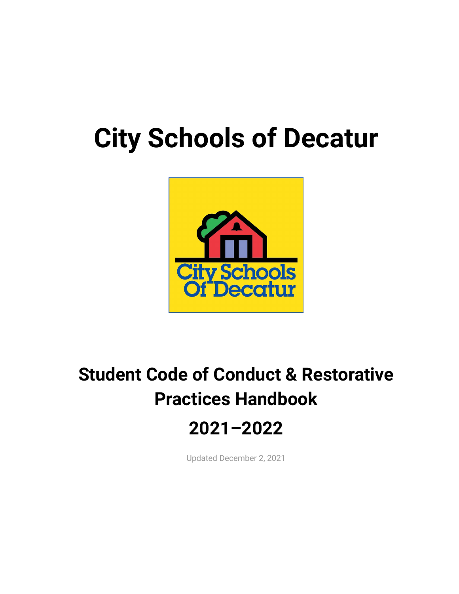# **City Schools of Decatur**



# **Student Code of Conduct & Restorative Practices Handbook 2021–2022**

Updated December 2, 2021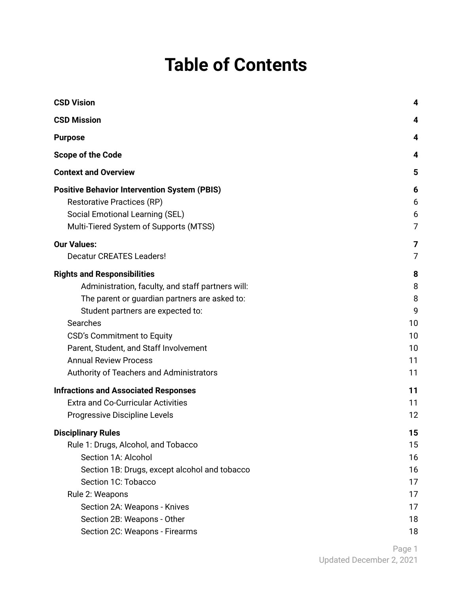# **Table of Contents**

| <b>CSD Vision</b>                                                    | 4              |
|----------------------------------------------------------------------|----------------|
| <b>CSD Mission</b>                                                   | 4              |
| <b>Purpose</b>                                                       | 4              |
| <b>Scope of the Code</b>                                             | 4              |
| <b>Context and Overview</b>                                          | 5              |
| <b>Positive Behavior Intervention System (PBIS)</b>                  | 6              |
| <b>Restorative Practices (RP)</b>                                    | 6              |
| Social Emotional Learning (SEL)                                      | 6              |
| Multi-Tiered System of Supports (MTSS)                               | 7              |
| <b>Our Values:</b>                                                   | 7              |
| <b>Decatur CREATES Leaders!</b>                                      | $\overline{7}$ |
|                                                                      |                |
| <b>Rights and Responsibilities</b>                                   | 8<br>8         |
| Administration, faculty, and staff partners will:                    | 8              |
| The parent or guardian partners are asked to:                        | 9              |
| Student partners are expected to:<br>Searches                        | 10             |
|                                                                      | 10             |
| CSD's Commitment to Equity<br>Parent, Student, and Staff Involvement | 10             |
| <b>Annual Review Process</b>                                         | 11             |
|                                                                      | 11             |
| Authority of Teachers and Administrators                             |                |
| <b>Infractions and Associated Responses</b>                          | 11             |
| <b>Extra and Co-Curricular Activities</b>                            | 11             |
| Progressive Discipline Levels                                        | 12             |
| <b>Disciplinary Rules</b>                                            | 15             |
| Rule 1: Drugs, Alcohol, and Tobacco                                  | 15             |
| Section 1A: Alcohol                                                  | 16             |
| Section 1B: Drugs, except alcohol and tobacco                        | 16             |
| Section 1C: Tobacco                                                  | 17             |
| Rule 2: Weapons                                                      | 17             |
| Section 2A: Weapons - Knives                                         | 17             |
| Section 2B: Weapons - Other                                          | 18             |
| Section 2C: Weapons - Firearms                                       | 18             |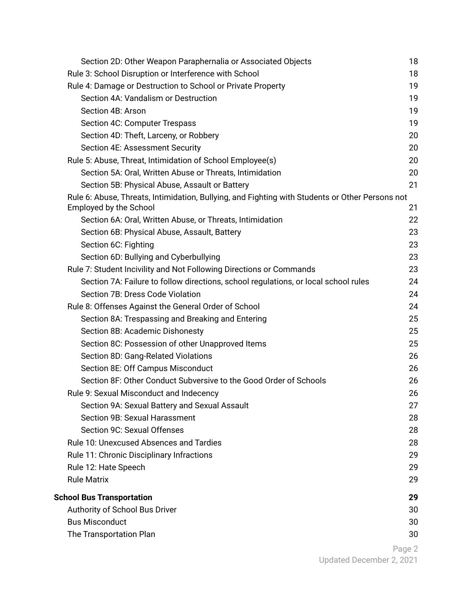| Section 2D: Other Weapon Paraphernalia or Associated Objects                                                                     | 18 |
|----------------------------------------------------------------------------------------------------------------------------------|----|
| Rule 3: School Disruption or Interference with School                                                                            | 18 |
| Rule 4: Damage or Destruction to School or Private Property                                                                      | 19 |
| Section 4A: Vandalism or Destruction                                                                                             | 19 |
| Section 4B: Arson                                                                                                                | 19 |
| Section 4C: Computer Trespass                                                                                                    | 19 |
| Section 4D: Theft, Larceny, or Robbery                                                                                           | 20 |
| Section 4E: Assessment Security                                                                                                  | 20 |
| Rule 5: Abuse, Threat, Intimidation of School Employee(s)                                                                        | 20 |
| Section 5A: Oral, Written Abuse or Threats, Intimidation                                                                         | 20 |
| Section 5B: Physical Abuse, Assault or Battery                                                                                   | 21 |
| Rule 6: Abuse, Threats, Intimidation, Bullying, and Fighting with Students or Other Persons not<br><b>Employed by the School</b> | 21 |
| Section 6A: Oral, Written Abuse, or Threats, Intimidation                                                                        | 22 |
| Section 6B: Physical Abuse, Assault, Battery                                                                                     | 23 |
| Section 6C: Fighting                                                                                                             | 23 |
| Section 6D: Bullying and Cyberbullying                                                                                           | 23 |
| Rule 7: Student Incivility and Not Following Directions or Commands                                                              | 23 |
| Section 7A: Failure to follow directions, school regulations, or local school rules                                              | 24 |
| Section 7B: Dress Code Violation                                                                                                 | 24 |
| Rule 8: Offenses Against the General Order of School                                                                             | 24 |
| Section 8A: Trespassing and Breaking and Entering                                                                                | 25 |
| Section 8B: Academic Dishonesty                                                                                                  | 25 |
| Section 8C: Possession of other Unapproved Items                                                                                 | 25 |
| Section 8D: Gang-Related Violations                                                                                              | 26 |
| Section 8E: Off Campus Misconduct                                                                                                | 26 |
| Section 8F: Other Conduct Subversive to the Good Order of Schools                                                                | 26 |
| Rule 9: Sexual Misconduct and Indecency                                                                                          | 26 |
| Section 9A: Sexual Battery and Sexual Assault                                                                                    | 27 |
| Section 9B: Sexual Harassment                                                                                                    | 28 |
| Section 9C: Sexual Offenses                                                                                                      | 28 |
| <b>Rule 10: Unexcused Absences and Tardies</b>                                                                                   | 28 |
| Rule 11: Chronic Disciplinary Infractions                                                                                        | 29 |
| Rule 12: Hate Speech                                                                                                             | 29 |
| <b>Rule Matrix</b>                                                                                                               | 29 |
| <b>School Bus Transportation</b>                                                                                                 | 29 |
| Authority of School Bus Driver                                                                                                   | 30 |
| <b>Bus Misconduct</b>                                                                                                            | 30 |
| The Transportation Plan                                                                                                          | 30 |
|                                                                                                                                  |    |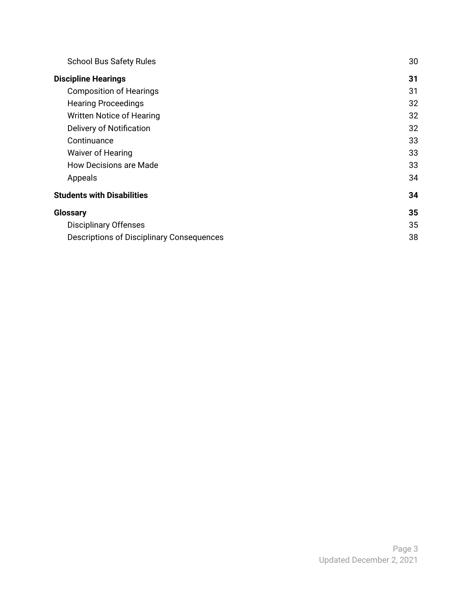| <b>School Bus Safety Rules</b>                   | 30 |
|--------------------------------------------------|----|
| <b>Discipline Hearings</b>                       | 31 |
| <b>Composition of Hearings</b>                   | 31 |
| <b>Hearing Proceedings</b>                       | 32 |
| <b>Written Notice of Hearing</b>                 | 32 |
| <b>Delivery of Notification</b>                  | 32 |
| Continuance                                      | 33 |
| Waiver of Hearing                                | 33 |
| How Decisions are Made                           | 33 |
| Appeals                                          | 34 |
| <b>Students with Disabilities</b>                |    |
| <b>Glossary</b>                                  |    |
| <b>Disciplinary Offenses</b>                     | 35 |
| <b>Descriptions of Disciplinary Consequences</b> | 38 |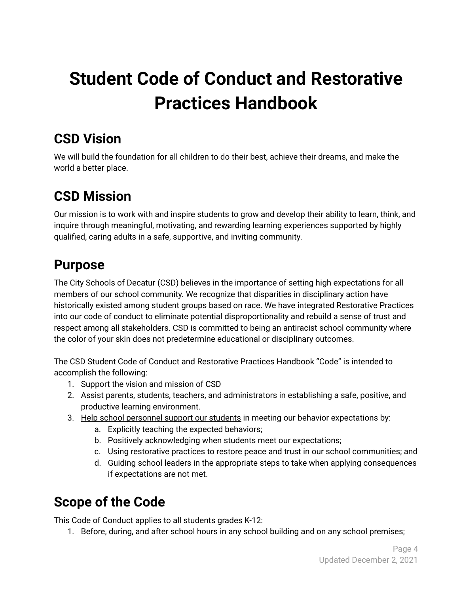# **Student Code of Conduct and Restorative Practices Handbook**

# <span id="page-4-0"></span>**CSD Vision**

We will build the foundation for all children to do their best, achieve their dreams, and make the world a better place.

# <span id="page-4-1"></span>**CSD Mission**

Our mission is to work with and inspire students to grow and develop their ability to learn, think, and inquire through meaningful, motivating, and rewarding learning experiences supported by highly qualified, caring adults in a safe, supportive, and inviting community.

# <span id="page-4-2"></span>**Purpose**

The City Schools of Decatur (CSD) believes in the importance of setting high expectations for all members of our school community. We recognize that disparities in disciplinary action have historically existed among student groups based on race. We have integrated Restorative Practices into our code of conduct to eliminate potential disproportionality and rebuild a sense of trust and respect among all stakeholders. CSD is committed to being an antiracist school community where the color of your skin does not predetermine educational or disciplinary outcomes.

The CSD Student Code of Conduct and Restorative Practices Handbook "Code" is intended to accomplish the following:

- 1. Support the vision and mission of CSD
- 2. Assist parents, students, teachers, and administrators in establishing a safe, positive, and productive learning environment.
- 3. Help school personnel support our students in meeting our behavior expectations by:
	- a. Explicitly teaching the expected behaviors;
	- b. Positively acknowledging when students meet our expectations;
	- c. Using restorative practices to restore peace and trust in our school communities; and
	- d. Guiding school leaders in the appropriate steps to take when applying consequences if expectations are not met.

# <span id="page-4-3"></span>**Scope of the Code**

This Code of Conduct applies to all students grades K-12:

1. Before, during, and after school hours in any school building and on any school premises;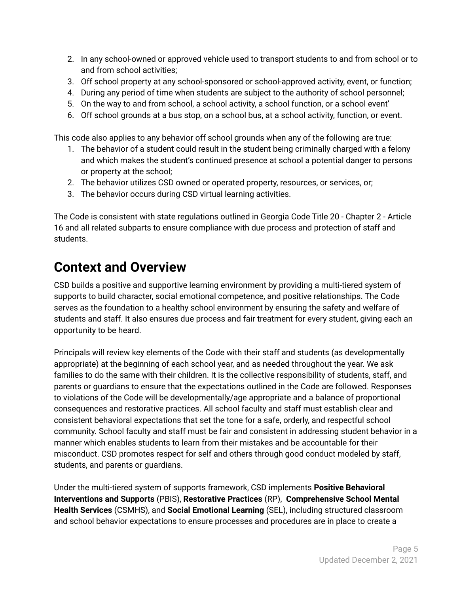- 2. In any school-owned or approved vehicle used to transport students to and from school or to and from school activities;
- 3. Off school property at any school-sponsored or school-approved activity, event, or function;
- 4. During any period of time when students are subject to the authority of school personnel;
- 5. On the way to and from school, a school activity, a school function, or a school event'
- 6. Off school grounds at a bus stop, on a school bus, at a school activity, function, or event.

This code also applies to any behavior off school grounds when any of the following are true:

- 1. The behavior of a student could result in the student being criminally charged with a felony and which makes the student's continued presence at school a potential danger to persons or property at the school;
- 2. The behavior utilizes CSD owned or operated property, resources, or services, or;
- 3. The behavior occurs during CSD virtual learning activities.

The Code is consistent with state regulations outlined in Georgia Code Title 20 - Chapter 2 - Article 16 and all related subparts to ensure compliance with due process and protection of staff and students.

# <span id="page-5-0"></span>**Context and Overview**

CSD builds a positive and supportive learning environment by providing a multi-tiered system of supports to build character, social emotional competence, and positive relationships. The Code serves as the foundation to a healthy school environment by ensuring the safety and welfare of students and staff. It also ensures due process and fair treatment for every student, giving each an opportunity to be heard.

Principals will review key elements of the Code with their staff and students (as developmentally appropriate) at the beginning of each school year, and as needed throughout the year. We ask families to do the same with their children. It is the collective responsibility of students, staff, and parents or guardians to ensure that the expectations outlined in the Code are followed. Responses to violations of the Code will be developmentally/age appropriate and a balance of proportional consequences and restorative practices. All school faculty and staff must establish clear and consistent behavioral expectations that set the tone for a safe, orderly, and respectful school community. School faculty and staff must be fair and consistent in addressing student behavior in a manner which enables students to learn from their mistakes and be accountable for their misconduct. CSD promotes respect for self and others through good conduct modeled by staff, students, and parents or guardians.

Under the multi-tiered system of supports framework, CSD implements **Positive Behavioral Interventions and Supports** (PBIS), **Restorative Practices** (RP), **Comprehensive School Mental Health Services** (CSMHS), and **Social Emotional Learning** (SEL), including structured classroom and school behavior expectations to ensure processes and procedures are in place to create a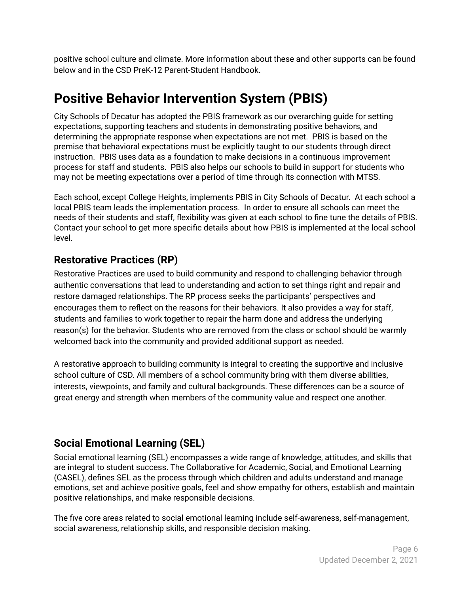positive school culture and climate. More information about these and other supports can be found below and in the CSD PreK-12 Parent-Student Handbook.

# <span id="page-6-0"></span>**Positive Behavior Intervention System (PBIS)**

City Schools of Decatur has adopted the PBIS framework as our overarching guide for setting expectations, supporting teachers and students in demonstrating positive behaviors, and determining the appropriate response when expectations are not met. PBIS is based on the premise that behavioral expectations must be explicitly taught to our students through direct instruction. PBIS uses data as a foundation to make decisions in a continuous improvement process for staff and students. PBIS also helps our schools to build in support for students who may not be meeting expectations over a period of time through its connection with MTSS.

Each school, except College Heights, implements PBIS in City Schools of Decatur. At each school a local PBIS team leads the implementation process. In order to ensure all schools can meet the needs of their students and staff, flexibility was given at each school to fine tune the details of PBIS. Contact your school to get more specific details about how PBIS is implemented at the local school level.

### <span id="page-6-1"></span>**Restorative Practices (RP)**

Restorative Practices are used to build community and respond to challenging behavior through authentic conversations that lead to understanding and action to set things right and repair and restore damaged relationships. The RP process seeks the participants' perspectives and encourages them to reflect on the reasons for their behaviors. It also provides a way for staff, students and families to work together to repair the harm done and address the underlying reason(s) for the behavior. Students who are removed from the class or school should be warmly welcomed back into the community and provided additional support as needed.

A restorative approach to building community is integral to creating the supportive and inclusive school culture of CSD. All members of a school community bring with them diverse abilities, interests, viewpoints, and family and cultural backgrounds. These differences can be a source of great energy and strength when members of the community value and respect one another.

### <span id="page-6-2"></span>**Social Emotional Learning (SEL)**

Social emotional learning (SEL) encompasses a wide range of knowledge, attitudes, and skills that are integral to student success. The Collaborative for Academic, Social, and Emotional Learning (CASEL), defines SEL as the process through which children and adults understand and manage emotions, set and achieve positive goals, feel and show empathy for others, establish and maintain positive relationships, and make responsible decisions.

The five core areas related to social emotional learning include self-awareness, self-management, social awareness, relationship skills, and responsible decision making.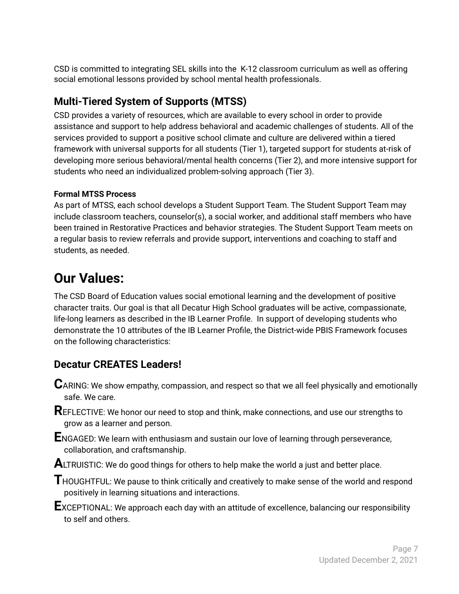CSD is committed to integrating SEL skills into the K-12 classroom curriculum as well as offering social emotional lessons provided by school mental health professionals.

# <span id="page-7-0"></span>**Multi-Tiered System of Supports (MTSS)**

CSD provides a variety of resources, which are available to every school in order to provide assistance and support to help address behavioral and academic challenges of students. All of the services provided to support a positive school climate and culture are delivered within a tiered framework with universal supports for all students (Tier 1), targeted support for students at-risk of developing more serious behavioral/mental health concerns (Tier 2), and more intensive support for students who need an individualized problem-solving approach (Tier 3).

#### **Formal MTSS Process**

As part of MTSS, each school develops a Student Support Team. The Student Support Team may include classroom teachers, counselor(s), a social worker, and additional staff members who have been trained in Restorative Practices and behavior strategies. The Student Support Team meets on a regular basis to review referrals and provide support, interventions and coaching to staff and students, as needed.

# <span id="page-7-1"></span>**Our Values:**

The CSD Board of Education values social emotional learning and the development of positive character traits. Our goal is that all Decatur High School graduates will be active, compassionate, life-long learners as described in the IB Learner Profile. In support of developing students who demonstrate the 10 attributes of the IB Learner Profile, the District-wide PBIS Framework focuses on the following characteristics:

# <span id="page-7-2"></span>**Decatur CREATES Leaders!**

**C**ARING: We show empathy, compassion, and respect so that we all feel physically and emotionally safe. We care.

**R**EFLECTIVE: We honor our need to stop and think, make connections, and use our strengths to grow as a learner and person.

**E**NGAGED: We learn with enthusiasm and sustain our love of learning through perseverance, collaboration, and craftsmanship.

**ALTRUISTIC:** We do good things for others to help make the world a just and better place.

**T**HOUGHTFUL: We pause to think critically and creatively to make sense of the world and respond positively in learning situations and interactions.

**E**XCEPTIONAL: We approach each day with an attitude of excellence, balancing our responsibility to self and others.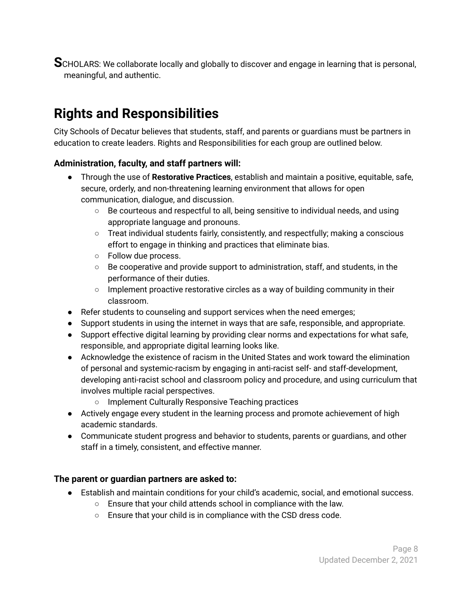**S**CHOLARS: We collaborate locally and globally to discover and engage in learning that is personal, meaningful, and authentic.

# <span id="page-8-0"></span>**Rights and Responsibilities**

City Schools of Decatur believes that students, staff, and parents or guardians must be partners in education to create leaders. Rights and Responsibilities for each group are outlined below.

#### <span id="page-8-1"></span>**Administration, faculty, and staff partners will:**

- Through the use of **Restorative Practices**, establish and maintain a positive, equitable, safe, secure, orderly, and non-threatening learning environment that allows for open communication, dialogue, and discussion.
	- $\circ$  Be courteous and respectful to all, being sensitive to individual needs, and using appropriate language and pronouns.
	- Treat individual students fairly, consistently, and respectfully; making a conscious effort to engage in thinking and practices that eliminate bias.
	- Follow due process.
	- $\circ$  Be cooperative and provide support to administration, staff, and students, in the performance of their duties.
	- $\circ$  Implement proactive restorative circles as a way of building community in their classroom.
- Refer students to counseling and support services when the need emerges;
- Support students in using the internet in ways that are safe, responsible, and appropriate.
- Support effective digital learning by providing clear norms and expectations for what safe, responsible, and appropriate digital learning looks like.
- Acknowledge the existence of racism in the United States and work toward the elimination of personal and systemic-racism by engaging in anti-racist self- and staff-development, developing anti-racist school and classroom policy and procedure, and using curriculum that involves multiple racial perspectives.
	- Implement Culturally Responsive Teaching practices
- Actively engage every student in the learning process and promote achievement of high academic standards.
- Communicate student progress and behavior to students, parents or guardians, and other staff in a timely, consistent, and effective manner.

#### <span id="page-8-2"></span>**The parent or guardian partners are asked to:**

- Establish and maintain conditions for your child's academic, social, and emotional success.
	- Ensure that your child attends school in compliance with the law.
	- Ensure that your child is in compliance with the CSD dress code.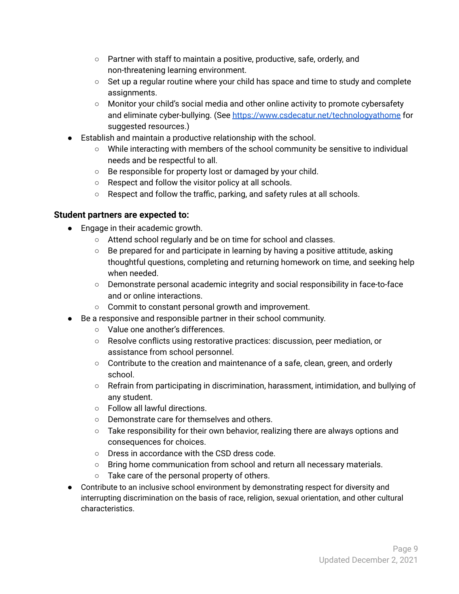- Partner with staff to maintain a positive, productive, safe, orderly, and non-threatening learning environment.
- $\circ$  Set up a regular routine where your child has space and time to study and complete assignments.
- Monitor your child's social media and other online activity to promote cybersafety and eliminate cyber-bullying. (See <https://www.csdecatur.net/technologyathome> for suggested resources.)
- Establish and maintain a productive relationship with the school.
	- While interacting with members of the school community be sensitive to individual needs and be respectful to all.
	- Be responsible for property lost or damaged by your child.
	- Respect and follow the visitor policy at all schools.
	- Respect and follow the traffic, parking, and safety rules at all schools.

#### <span id="page-9-0"></span>**Student partners are expected to:**

- Engage in their academic growth.
	- Attend school regularly and be on time for school and classes.
	- $\circ$  Be prepared for and participate in learning by having a positive attitude, asking thoughtful questions, completing and returning homework on time, and seeking help when needed.
	- Demonstrate personal academic integrity and social responsibility in face-to-face and or online interactions.
	- Commit to constant personal growth and improvement.
- Be a responsive and responsible partner in their school community.
	- Value one another's differences.
	- Resolve conflicts using restorative practices: discussion, peer mediation, or assistance from school personnel.
	- Contribute to the creation and maintenance of a safe, clean, green, and orderly school.
	- Refrain from participating in discrimination, harassment, intimidation, and bullying of any student.
	- Follow all lawful directions.
	- Demonstrate care for themselves and others.
	- $\circ$  Take responsibility for their own behavior, realizing there are always options and consequences for choices.
	- Dress in accordance with the CSD dress code.
	- Bring home communication from school and return all necessary materials.
	- Take care of the personal property of others.
- Contribute to an inclusive school environment by demonstrating respect for diversity and interrupting discrimination on the basis of race, religion, sexual orientation, and other cultural characteristics.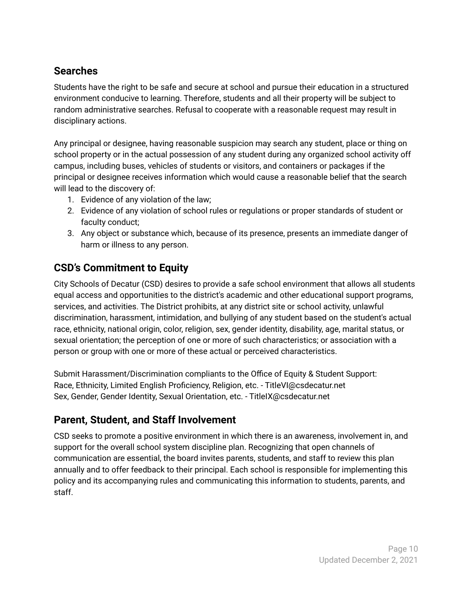### <span id="page-10-0"></span>**Searches**

Students have the right to be safe and secure at school and pursue their education in a structured environment conducive to learning. Therefore, students and all their property will be subject to random administrative searches. Refusal to cooperate with a reasonable request may result in disciplinary actions.

Any principal or designee, having reasonable suspicion may search any student, place or thing on school property or in the actual possession of any student during any organized school activity off campus, including buses, vehicles of students or visitors, and containers or packages if the principal or designee receives information which would cause a reasonable belief that the search will lead to the discovery of:

- 1. Evidence of any violation of the law;
- 2. Evidence of any violation of school rules or regulations or proper standards of student or faculty conduct;
- 3. Any object or substance which, because of its presence, presents an immediate danger of harm or illness to any person.

### <span id="page-10-1"></span>**CSD's Commitment to Equity**

City Schools of Decatur (CSD) desires to provide a safe school environment that allows all students equal access and opportunities to the district's academic and other educational support programs, services, and activities. The District prohibits, at any district site or school activity, unlawful discrimination, harassment, intimidation, and bullying of any student based on the student's actual race, ethnicity, national origin, color, religion, sex, gender identity, disability, age, marital status, or sexual orientation; the perception of one or more of such characteristics; or association with a person or group with one or more of these actual or perceived characteristics.

Submit Harassment/Discrimination compliants to the Office of Equity & Student Support: Race, Ethnicity, Limited English Proficiency, Religion, etc. - TitleVI@csdecatur.net Sex, Gender, Gender Identity, Sexual Orientation, etc. - TitleIX@csdecatur.net

### <span id="page-10-2"></span>**Parent, Student, and Staff Involvement**

CSD seeks to promote a positive environment in which there is an awareness, involvement in, and support for the overall school system discipline plan. Recognizing that open channels of communication are essential, the board invites parents, students, and staff to review this plan annually and to offer feedback to their principal. Each school is responsible for implementing this policy and its accompanying rules and communicating this information to students, parents, and staff.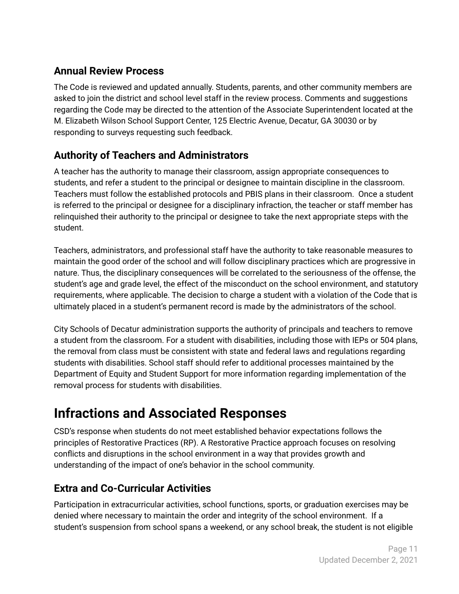# <span id="page-11-0"></span>**Annual Review Process**

The Code is reviewed and updated annually. Students, parents, and other community members are asked to join the district and school level staff in the review process. Comments and suggestions regarding the Code may be directed to the attention of the Associate Superintendent located at the M. Elizabeth Wilson School Support Center, 125 Electric Avenue, Decatur, GA 30030 or by responding to surveys requesting such feedback.

# <span id="page-11-1"></span>**Authority of Teachers and Administrators**

A teacher has the authority to manage their classroom, assign appropriate consequences to students, and refer a student to the principal or designee to maintain discipline in the classroom. Teachers must follow the established protocols and PBIS plans in their classroom. Once a student is referred to the principal or designee for a disciplinary infraction, the teacher or staff member has relinquished their authority to the principal or designee to take the next appropriate steps with the student.

Teachers, administrators, and professional staff have the authority to take reasonable measures to maintain the good order of the school and will follow disciplinary practices which are progressive in nature. Thus, the disciplinary consequences will be correlated to the seriousness of the offense, the student's age and grade level, the effect of the misconduct on the school environment, and statutory requirements, where applicable. The decision to charge a student with a violation of the Code that is ultimately placed in a student's permanent record is made by the administrators of the school.

City Schools of Decatur administration supports the authority of principals and teachers to remove a student from the classroom. For a student with disabilities, including those with IEPs or 504 plans, the removal from class must be consistent with state and federal laws and regulations regarding students with disabilities. School staff should refer to additional processes maintained by the Department of Equity and Student Support for more information regarding implementation of the removal process for students with disabilities.

# <span id="page-11-2"></span>**Infractions and Associated Responses**

CSD's response when students do not meet established behavior expectations follows the principles of Restorative Practices (RP). A Restorative Practice approach focuses on resolving conflicts and disruptions in the school environment in a way that provides growth and understanding of the impact of one's behavior in the school community.

# <span id="page-11-3"></span>**Extra and Co-Curricular Activities**

Participation in extracurricular activities, school functions, sports, or graduation exercises may be denied where necessary to maintain the order and integrity of the school environment. If a student's suspension from school spans a weekend, or any school break, the student is not eligible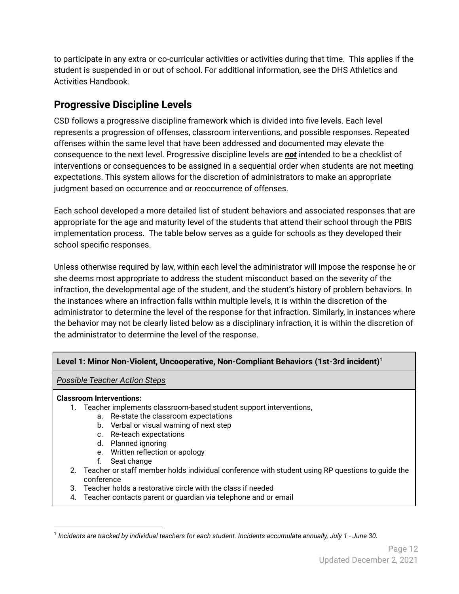to participate in any extra or co-curricular activities or activities during that time. This applies if the student is suspended in or out of school. For additional information, see the DHS Athletics and Activities Handbook.

# <span id="page-12-0"></span>**Progressive Discipline Levels**

CSD follows a progressive discipline framework which is divided into five levels. Each level represents a progression of offenses, classroom interventions, and possible responses. Repeated offenses within the same level that have been addressed and documented may elevate the consequence to the next level. Progressive discipline levels are *not* intended to be a checklist of interventions or consequences to be assigned in a sequential order when students are not meeting expectations. This system allows for the discretion of administrators to make an appropriate judgment based on occurrence and or reoccurrence of offenses.

Each school developed a more detailed list of student behaviors and associated responses that are appropriate for the age and maturity level of the students that attend their school through the PBIS implementation process. The table below serves as a guide for schools as they developed their school specific responses.

Unless otherwise required by law, within each level the administrator will impose the response he or she deems most appropriate to address the student misconduct based on the severity of the infraction, the developmental age of the student, and the student's history of problem behaviors. In the instances where an infraction falls within multiple levels, it is within the discretion of the administrator to determine the level of the response for that infraction. Similarly, in instances where the behavior may not be clearly listed below as a disciplinary infraction, it is within the discretion of the administrator to determine the level of the response.

#### **Level 1: Minor Non-Violent, Uncooperative, Non-Compliant Behaviors (1st-3rd incident) 1**

*Possible Teacher Action Steps*

#### **Classroom Interventions:**

- 1. Teacher implements classroom-based student support interventions,
	- a. Re-state the classroom expectations
	- b. Verbal or visual warning of next step
	- c. Re-teach expectations
	- d. Planned ignoring
	- e. Written reflection or apology
	- f. Seat change
- 2. Teacher or staff member holds individual conference with student using RP questions to guide the conference
- 3. Teacher holds a restorative circle with the class if needed
- 4. Teacher contacts parent or guardian via telephone and or email

<sup>1</sup> *Incidents are tracked by individual teachers for each student. Incidents accumulate annually, July 1 - June 30.*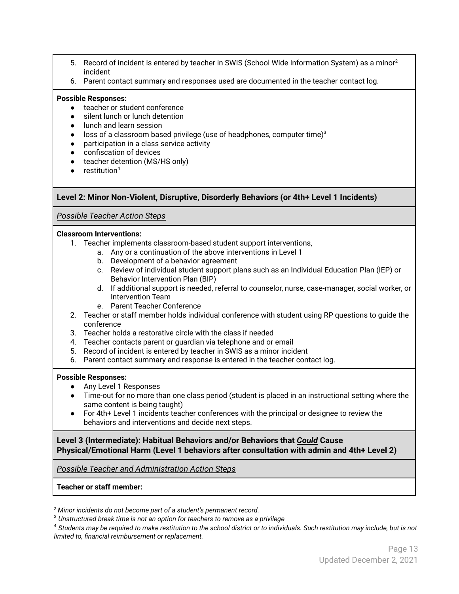- 5. Record of incident is entered by teacher in SWIS (School Wide Information System) as a minor<sup>2</sup> incident
- 6. Parent contact summary and responses used are documented in the teacher contact log.

#### **Possible Responses:**

- teacher or student conference
- silent lunch or lunch detention
- lunch and learn session
- $\bullet$  loss of a classroom based privilege (use of headphones, computer time)<sup>3</sup>
- participation in a class service activity
- confiscation of devices
- teacher detention (MS/HS only)
- $\bullet$  restitution<sup>4</sup>

#### **Level 2: Minor Non-Violent, Disruptive, Disorderly Behaviors (or 4th+ Level 1 Incidents)**

#### *Possible Teacher Action Steps*

#### **Classroom Interventions:**

- 1. Teacher implements classroom-based student support interventions,
	- a. Any or a continuation of the above interventions in Level 1
	- b. Development of a behavior agreement
	- c. Review of individual student support plans such as an Individual Education Plan (IEP) or Behavior Intervention Plan (BIP)
	- d. If additional support is needed, referral to counselor, nurse, case-manager, social worker, or Intervention Team
	- e. Parent Teacher Conference
- 2. Teacher or staff member holds individual conference with student using RP questions to guide the conference
- 3. Teacher holds a restorative circle with the class if needed
- 4. Teacher contacts parent or guardian via telephone and or email
- 5. Record of incident is entered by teacher in SWIS as a minor incident
- 6. Parent contact summary and response is entered in the teacher contact log.

#### **Possible Responses:**

- Any Level 1 Responses
- Time-out for no more than one class period (student is placed in an instructional setting where the same content is being taught)
- For 4th+ Level 1 incidents teacher conferences with the principal or designee to review the behaviors and interventions and decide next steps.

**Level 3 (Intermediate): Habitual Behaviors and/or Behaviors that** *Could* **Cause Physical/Emotional Harm (Level 1 behaviors after consultation with admin and 4th+ Level 2)**

*Possible Teacher and Administration Action Steps*

**Teacher or staff member:**

*<sup>2</sup> Minor incidents do not become part of a student's permanent record.*

<sup>3</sup> *Unstructured break time is not an option for teachers to remove as a privilege*

<sup>4</sup> *Students may be required to make restitution to the school district or to individuals. Such restitution may include, but is not limited to, financial reimbursement or replacement.*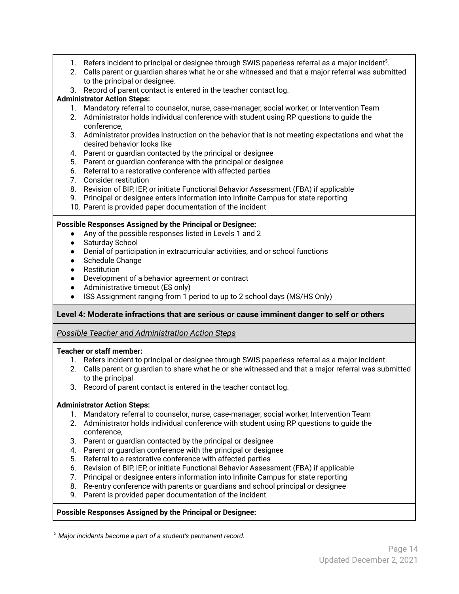- 1. Refers incident to principal or designee through SWIS paperless referral as a major incident $5$ .
- 2. Calls parent or guardian shares what he or she witnessed and that a major referral was submitted to the principal or designee.
- 3. Record of parent contact is entered in the teacher contact log.

#### **Administrator Action Steps:**

- 1. Mandatory referral to counselor, nurse, case-manager, social worker, or Intervention Team
- 2. Administrator holds individual conference with student using RP questions to guide the conference,
- 3. Administrator provides instruction on the behavior that is not meeting expectations and what the desired behavior looks like
- 4. Parent or guardian contacted by the principal or designee
- 5. Parent or guardian conference with the principal or designee
- 6. Referral to a restorative conference with affected parties
- 7. Consider restitution
- 8. Revision of BIP, IEP, or initiate Functional Behavior Assessment (FBA) if applicable
- 9. Principal or designee enters information into Infinite Campus for state reporting
- 10. Parent is provided paper documentation of the incident

#### **Possible Responses Assigned by the Principal or Designee:**

- Any of the possible responses listed in Levels 1 and 2
- Saturday School
- Denial of participation in extracurricular activities, and or school functions
- Schedule Change
- Restitution
- Development of a behavior agreement or contract
- Administrative timeout (ES only)
- ISS Assignment ranging from 1 period to up to 2 school days (MS/HS Only)

#### **Level 4: Moderate infractions that are serious or cause imminent danger to self or others**

*Possible Teacher and Administration Action Steps*

#### **Teacher or staff member:**

- 1. Refers incident to principal or designee through SWIS paperless referral as a major incident.
- 2. Calls parent or guardian to share what he or she witnessed and that a major referral was submitted to the principal
- 3. Record of parent contact is entered in the teacher contact log.

#### **Administrator Action Steps:**

- 1. Mandatory referral to counselor, nurse, case-manager, social worker, Intervention Team
- 2. Administrator holds individual conference with student using RP questions to guide the conference,
- 3. Parent or guardian contacted by the principal or designee
- 4. Parent or guardian conference with the principal or designee
- 5. Referral to a restorative conference with affected parties
- 6. Revision of BIP, IEP, or initiate Functional Behavior Assessment (FBA) if applicable
- 7. Principal or designee enters information into Infinite Campus for state reporting
- 8. Re-entry conference with parents or guardians and school principal or designee
- 9. Parent is provided paper documentation of the incident

#### **Possible Responses Assigned by the Principal or Designee:**

<sup>5</sup> *Major incidents become a part of a student's permanent record.*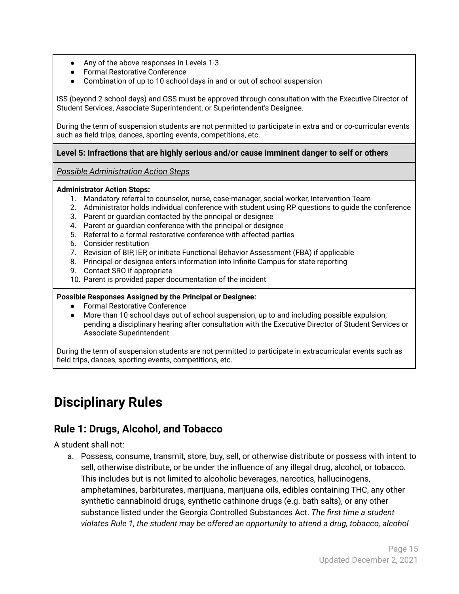- Any of the above responses in Levels 1-3
- Formal Restorative Conference
- Combination of up to 10 school days in and or out of school suspension

ISS (beyond 2 school days) and OSS must be approved through consultation with the Executive Director of Student Services, Associate Superintendent, or Superintendent's Designee.

During the term of suspension students are not permitted to participate in extra and or co-curricular events such as field trips, dances, sporting events, competitions, etc.

#### **Level 5: Infractions that are highly serious and/or cause imminent danger to self or others**

*Possible Administration Action Steps*

#### **Administrator Action Steps:**

- 1. Mandatory referral to counselor, nurse, case-manager, social worker, Intervention Team
- 2. Administrator holds individual conference with student using RP questions to guide the conference
- 3. Parent or guardian contacted by the principal or designee
- 4. Parent or guardian conference with the principal or designee
- 5. Referral to a formal restorative conference with affected parties
- 6. Consider restitution
- 7. Revision of BIP, IEP, or initiate Functional Behavior Assessment (FBA) if applicable
- 8. Principal or designee enters information into Infinite Campus for state reporting
- 9. Contact SRO if appropriate
- 10. Parent is provided paper documentation of the incident

#### **Possible Responses Assigned by the Principal or Designee:**

- Formal Restorative Conference
- More than 10 school days out of school suspension, up to and including possible expulsion, pending a disciplinary hearing after consultation with the Executive Director of Student Services or Associate Superintendent

During the term of suspension students are not permitted to participate in extracurricular events such as field trips, dances, sporting events, competitions, etc.

# <span id="page-15-0"></span>**Disciplinary Rules**

### <span id="page-15-1"></span>**Rule 1: Drugs, Alcohol, and Tobacco**

A student shall not:

a. Possess, consume, transmit, store, buy, sell, or otherwise distribute or possess with intent to sell, otherwise distribute, or be under the influence of any illegal drug, alcohol, or tobacco. This includes but is not limited to alcoholic beverages, narcotics, hallucinogens, amphetamines, barbiturates, marijuana, marijuana oils, edibles containing THC, any other synthetic cannabinoid drugs, synthetic cathinone drugs (e.g. bath salts), or any other substance listed under the Georgia Controlled Substances Act. *The first time a student violates Rule 1, the student may be offered an opportunity to attend a drug, tobacco, alcohol*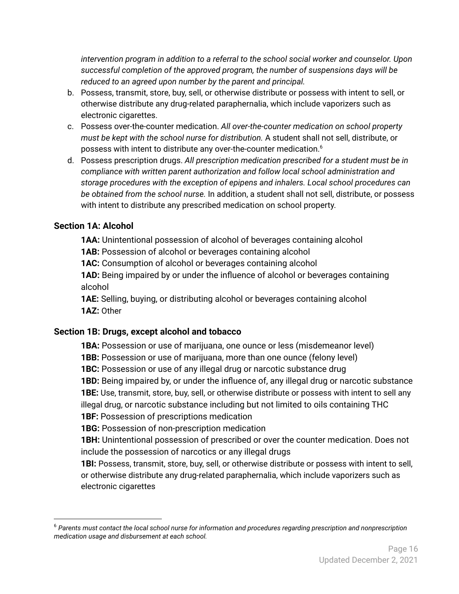*intervention program in addition to a referral to the school social worker and counselor. Upon successful completion of the approved program, the number of suspensions days will be reduced to an agreed upon number by the parent and principal.*

- b. Possess, transmit, store, buy, sell, or otherwise distribute or possess with intent to sell, or otherwise distribute any drug-related paraphernalia, which include vaporizers such as electronic cigarettes.
- c. Possess over-the-counter medication. *All over-the-counter medication on school property must be kept with the school nurse for distribution.* A student shall not sell, distribute, or possess with intent to distribute any over-the-counter medication. 6
- d. Possess prescription drugs. *All prescription medication prescribed for a student must be in compliance with written parent authorization and follow local school administration and storage procedures with the exception of epipens and inhalers. Local school procedures can be obtained from the school nurse.* In addition, a student shall not sell, distribute, or possess with intent to distribute any prescribed medication on school property.

#### <span id="page-16-0"></span>**Section 1A: Alcohol**

**1AA:** Unintentional possession of alcohol of beverages containing alcohol

**1AB:** Possession of alcohol or beverages containing alcohol

**1AC:** Consumption of alcohol or beverages containing alcohol

**1AD:** Being impaired by or under the influence of alcohol or beverages containing alcohol

**1AE:** Selling, buying, or distributing alcohol or beverages containing alcohol **1AZ:** Other

#### <span id="page-16-1"></span>**Section 1B: Drugs, except alcohol and tobacco**

**1BA:** Possession or use of marijuana, one ounce or less (misdemeanor level)

**1BB:** Possession or use of marijuana, more than one ounce (felony level)

**1BC:** Possession or use of any illegal drug or narcotic substance drug

**1BD:** Being impaired by, or under the influence of, any illegal drug or narcotic substance **1BE:** Use, transmit, store, buy, sell, or otherwise distribute or possess with intent to sell any

illegal drug, or narcotic substance including but not limited to oils containing THC

**1BF:** Possession of prescriptions medication

**1BG:** Possession of non-prescription medication

**1BH:** Unintentional possession of prescribed or over the counter medication. Does not include the possession of narcotics or any illegal drugs

**1BI:** Possess, transmit, store, buy, sell, or otherwise distribute or possess with intent to sell, or otherwise distribute any drug-related paraphernalia, which include vaporizers such as electronic cigarettes

<sup>6</sup> *Parents must contact the local school nurse for information and procedures regarding prescription and nonprescription medication usage and disbursement at each school.*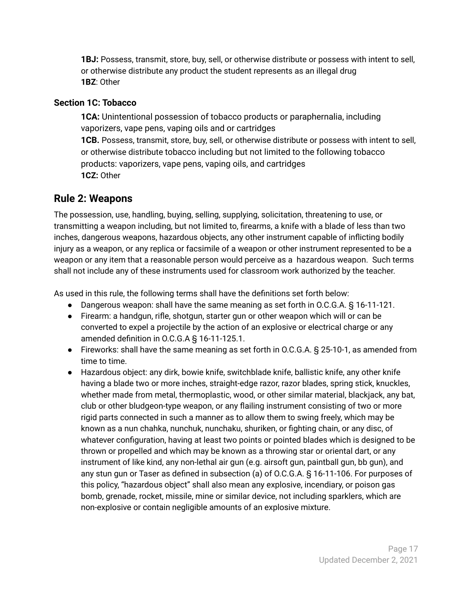**1BJ:** Possess, transmit, store, buy, sell, or otherwise distribute or possess with intent to sell, or otherwise distribute any product the student represents as an illegal drug **1BZ**: Other

#### <span id="page-17-0"></span>**Section 1C: Tobacco**

**1CA:** Unintentional possession of tobacco products or paraphernalia, including vaporizers, vape pens, vaping oils and or cartridges **1CB.** Possess, transmit, store, buy, sell, or otherwise distribute or possess with intent to sell, or otherwise distribute tobacco including but not limited to the following tobacco products: vaporizers, vape pens, vaping oils, and cartridges **1CZ:** Other

### <span id="page-17-1"></span>**Rule 2: Weapons**

The possession, use, handling, buying, selling, supplying, solicitation, threatening to use, or transmitting a weapon including, but not limited to, firearms, a knife with a blade of less than two inches, dangerous weapons, hazardous objects, any other instrument capable of inflicting bodily injury as a weapon, or any replica or facsimile of a weapon or other instrument represented to be a weapon or any item that a reasonable person would perceive as a hazardous weapon. Such terms shall not include any of these instruments used for classroom work authorized by the teacher.

As used in this rule, the following terms shall have the definitions set forth below:

- Dangerous weapon: shall have the same meaning as set forth in O.C.G.A. § 16-11-121.
- Firearm: a handgun, rifle, shotgun, starter gun or other weapon which will or can be converted to expel a projectile by the action of an explosive or electrical charge or any amended definition in O.C.G.A § 16-11-125.1.
- Fireworks: shall have the same meaning as set forth in O.C.G.A. § 25-10-1, as amended from time to time.
- Hazardous object: any dirk, bowie knife, switchblade knife, ballistic knife, any other knife having a blade two or more inches, straight-edge razor, razor blades, spring stick, knuckles, whether made from metal, thermoplastic, wood, or other similar material, blackjack, any bat, club or other bludgeon-type weapon, or any flailing instrument consisting of two or more rigid parts connected in such a manner as to allow them to swing freely, which may be known as a nun chahka, nunchuk, nunchaku, shuriken, or fighting chain, or any disc, of whatever configuration, having at least two points or pointed blades which is designed to be thrown or propelled and which may be known as a throwing star or oriental dart, or any instrument of like kind, any non-lethal air gun (e.g. airsoft gun, paintball gun, bb gun), and any stun gun or Taser as defined in subsection (a) of O.C.G.A. § 16-11-106. For purposes of this policy, "hazardous object" shall also mean any explosive, incendiary, or poison gas bomb, grenade, rocket, missile, mine or similar device, not including sparklers, which are non-explosive or contain negligible amounts of an explosive mixture.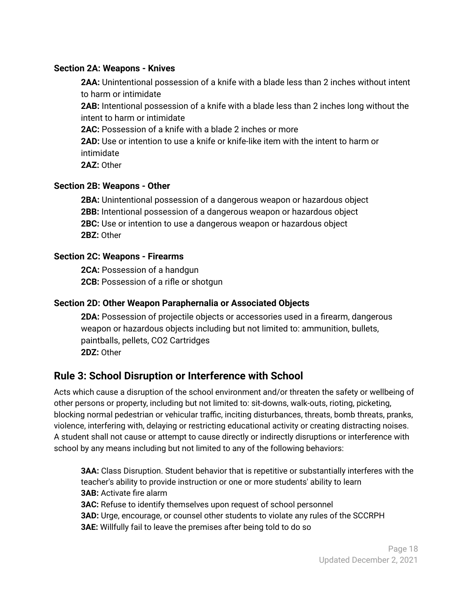#### <span id="page-18-0"></span>**Section 2A: Weapons - Knives**

**2AA:** Unintentional possession of a knife with a blade less than 2 inches without intent to harm or intimidate

**2AB:** Intentional possession of a knife with a blade less than 2 inches long without the intent to harm or intimidate

**2AC:** Possession of a knife with a blade 2 inches or more

**2AD:** Use or intention to use a knife or knife-like item with the intent to harm or intimidate

**2AZ:** Other

#### <span id="page-18-1"></span>**Section 2B: Weapons - Other**

**2BA:** Unintentional possession of a dangerous weapon or hazardous object **2BB:** Intentional possession of a dangerous weapon or hazardous object **2BC:** Use or intention to use a dangerous weapon or hazardous object **2BZ:** Other

#### <span id="page-18-2"></span>**Section 2C: Weapons - Firearms**

**2CA:** Possession of a handgun **2CB:** Possession of a rifle or shotgun

#### <span id="page-18-3"></span>**Section 2D: Other Weapon Paraphernalia or Associated Objects**

**2DA:** Possession of projectile objects or accessories used in a firearm, dangerous weapon or hazardous objects including but not limited to: ammunition, bullets, paintballs, pellets, CO2 Cartridges **2DZ:** Other

### <span id="page-18-4"></span>**Rule 3: School Disruption or Interference with School**

Acts which cause a disruption of the school environment and/or threaten the safety or wellbeing of other persons or property, including but not limited to: sit-downs, walk-outs, rioting, picketing, blocking normal pedestrian or vehicular traffic, inciting disturbances, threats, bomb threats, pranks, violence, interfering with, delaying or restricting educational activity or creating distracting noises. A student shall not cause or attempt to cause directly or indirectly disruptions or interference with school by any means including but not limited to any of the following behaviors:

**3AA:** Class Disruption. Student behavior that is repetitive or substantially interferes with the teacher's ability to provide instruction or one or more students' ability to learn **3AB:** Activate fire alarm

**3AC:** Refuse to identify themselves upon request of school personnel

**3AD:** Urge, encourage, or counsel other students to violate any rules of the SCCRPH

**3AE:** Willfully fail to leave the premises after being told to do so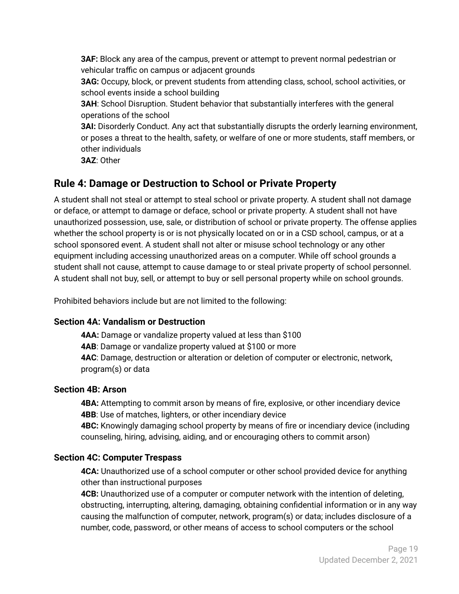**3AF:** Block any area of the campus, prevent or attempt to prevent normal pedestrian or vehicular traffic on campus or adjacent grounds **3AG:** Occupy, block, or prevent students from attending class, school, school activities, or school events inside a school building **3AH**: School Disruption. Student behavior that substantially interferes with the general operations of the school **3AI:** Disorderly Conduct. Any act that substantially disrupts the orderly learning environment, or poses a threat to the health, safety, or welfare of one or more students, staff members, or other individuals **3AZ**: Other

#### <span id="page-19-0"></span>**Rule 4: Damage or Destruction to School or Private Property**

A student shall not steal or attempt to steal school or private property. A student shall not damage or deface, or attempt to damage or deface, school or private property. A student shall not have unauthorized possession, use, sale, or distribution of school or private property. The offense applies whether the school property is or is not physically located on or in a CSD school, campus, or at a school sponsored event. A student shall not alter or misuse school technology or any other equipment including accessing unauthorized areas on a computer. While off school grounds a student shall not cause, attempt to cause damage to or steal private property of school personnel. A student shall not buy, sell, or attempt to buy or sell personal property while on school grounds.

Prohibited behaviors include but are not limited to the following:

#### <span id="page-19-1"></span>**Section 4A: Vandalism or Destruction**

**4AA:** Damage or vandalize property valued at less than \$100 **4AB**: Damage or vandalize property valued at \$100 or more **4AC**: Damage, destruction or alteration or deletion of computer or electronic, network, program(s) or data

#### <span id="page-19-2"></span>**Section 4B: Arson**

**4BA:** Attempting to commit arson by means of fire, explosive, or other incendiary device **4BB**: Use of matches, lighters, or other incendiary device

**4BC:** Knowingly damaging school property by means of fire or incendiary device (including counseling, hiring, advising, aiding, and or encouraging others to commit arson)

#### <span id="page-19-3"></span>**Section 4C: Computer Trespass**

**4CA:** Unauthorized use of a school computer or other school provided device for anything other than instructional purposes

**4CB:** Unauthorized use of a computer or computer network with the intention of deleting, obstructing, interrupting, altering, damaging, obtaining confidential information or in any way causing the malfunction of computer, network, program(s) or data; includes disclosure of a number, code, password, or other means of access to school computers or the school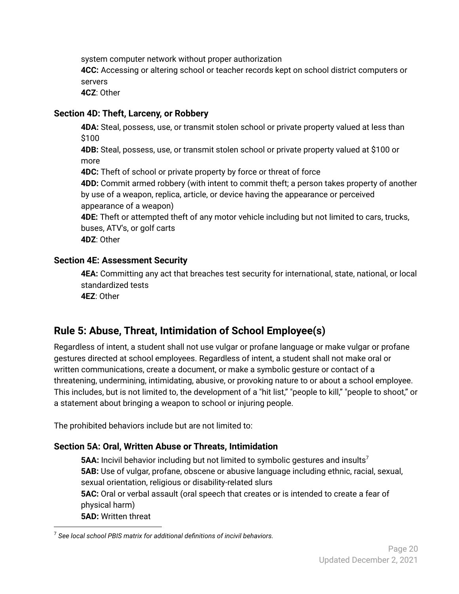system computer network without proper authorization

**4CC:** Accessing or altering school or teacher records kept on school district computers or servers

**4CZ**: Other

#### <span id="page-20-0"></span>**Section 4D: Theft, Larceny, or Robbery**

**4DA:** Steal, possess, use, or transmit stolen school or private property valued at less than \$100

**4DB:** Steal, possess, use, or transmit stolen school or private property valued at \$100 or more

**4DC:** Theft of school or private property by force or threat of force

**4DD:** Commit armed robbery (with intent to commit theft; a person takes property of another by use of a weapon, replica, article, or device having the appearance or perceived appearance of a weapon)

**4DE:** Theft or attempted theft of any motor vehicle including but not limited to cars, trucks, buses, ATV's, or golf carts

**4DZ**: Other

#### <span id="page-20-1"></span>**Section 4E: Assessment Security**

**4EA:** Committing any act that breaches test security for international, state, national, or local standardized tests

**4EZ**: Other

# <span id="page-20-2"></span>**Rule 5: Abuse, Threat, Intimidation of School Employee(s)**

Regardless of intent, a student shall not use vulgar or profane language or make vulgar or profane gestures directed at school employees. Regardless of intent, a student shall not make oral or written communications, create a document, or make a symbolic gesture or contact of a threatening, undermining, intimidating, abusive, or provoking nature to or about a school employee. This includes, but is not limited to, the development of a "hit list," "people to kill," "people to shoot," or a statement about bringing a weapon to school or injuring people.

The prohibited behaviors include but are not limited to:

#### <span id="page-20-3"></span>**Section 5A: Oral, Written Abuse or Threats, Intimidation**

**5AA:** Incivil behavior including but not limited to symbolic gestures and insults<sup>7</sup> **5AB:** Use of vulgar, profane, obscene or abusive language including ethnic, racial, sexual, sexual orientation, religious or disability-related slurs **5AC:** Oral or verbal assault (oral speech that creates or is intended to create a fear of physical harm) **5AD:** Written threat

<sup>7</sup> *See local school PBIS matrix for additional definitions of incivil behaviors.*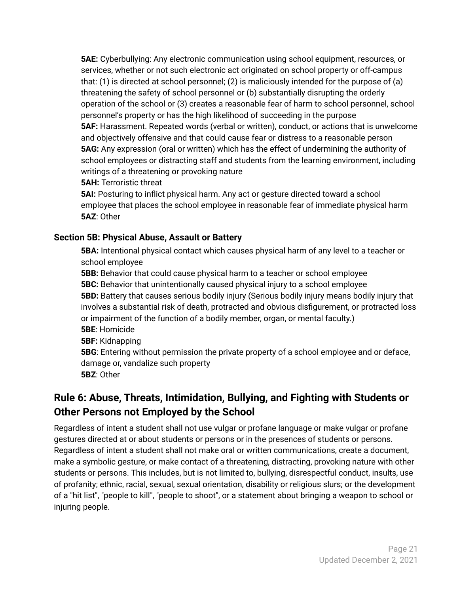**5AE:** Cyberbullying: Any electronic communication using school equipment, resources, or services, whether or not such electronic act originated on school property or off-campus that: (1) is directed at school personnel; (2) is maliciously intended for the purpose of (a) threatening the safety of school personnel or (b) substantially disrupting the orderly operation of the school or (3) creates a reasonable fear of harm to school personnel, school personnel's property or has the high likelihood of succeeding in the purpose **5AF:** Harassment. Repeated words (verbal or written), conduct, or actions that is unwelcome and objectively offensive and that could cause fear or distress to a reasonable person **5AG:** Any expression (oral or written) which has the effect of undermining the authority of school employees or distracting staff and students from the learning environment, including writings of a threatening or provoking nature

**5AH:** Terroristic threat

**5AI:** Posturing to inflict physical harm. Any act or gesture directed toward a school employee that places the school employee in reasonable fear of immediate physical harm **5AZ**: Other

#### <span id="page-21-0"></span>**Section 5B: Physical Abuse, Assault or Battery**

**5BA:** Intentional physical contact which causes physical harm of any level to a teacher or school employee

**5BB:** Behavior that could cause physical harm to a teacher or school employee **5BC:** Behavior that unintentionally caused physical injury to a school employee **5BD:** Battery that causes serious bodily injury (Serious bodily injury means bodily injury that involves a substantial risk of death, protracted and obvious disfigurement, or protracted loss or impairment of the function of a bodily member, organ, or mental faculty.) **5BE**: Homicide **5BF:** Kidnapping

**5BG**: Entering without permission the private property of a school employee and or deface, damage or, vandalize such property **5BZ**: Other

# <span id="page-21-1"></span>**Rule 6: Abuse, Threats, Intimidation, Bullying, and Fighting with Students or Other Persons not Employed by the School**

Regardless of intent a student shall not use vulgar or profane language or make vulgar or profane gestures directed at or about students or persons or in the presences of students or persons. Regardless of intent a student shall not make oral or written communications, create a document, make a symbolic gesture, or make contact of a threatening, distracting, provoking nature with other students or persons. This includes, but is not limited to, bullying, disrespectful conduct, insults, use of profanity; ethnic, racial, sexual, sexual orientation, disability or religious slurs; or the development of a "hit list", "people to kill", "people to shoot", or a statement about bringing a weapon to school or injuring people.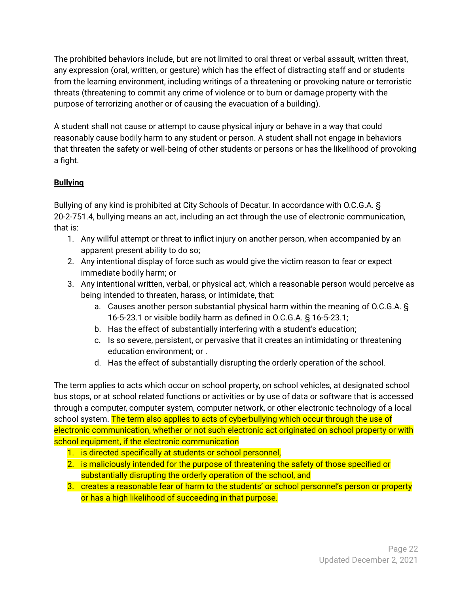The prohibited behaviors include, but are not limited to oral threat or verbal assault, written threat, any expression (oral, written, or gesture) which has the effect of distracting staff and or students from the learning environment, including writings of a threatening or provoking nature or terroristic threats (threatening to commit any crime of violence or to burn or damage property with the purpose of terrorizing another or of causing the evacuation of a building).

A student shall not cause or attempt to cause physical injury or behave in a way that could reasonably cause bodily harm to any student or person. A student shall not engage in behaviors that threaten the safety or well-being of other students or persons or has the likelihood of provoking a fight.

#### **Bullying**

Bullying of any kind is prohibited at City Schools of Decatur. In accordance with O.C.G.A. § 20-2-751.4, bullying means an act, including an act through the use of electronic communication, that is:

- 1. Any willful attempt or threat to inflict injury on another person, when accompanied by an apparent present ability to do so;
- 2. Any intentional display of force such as would give the victim reason to fear or expect immediate bodily harm; or
- 3. Any intentional written, verbal, or physical act, which a reasonable person would perceive as being intended to threaten, harass, or intimidate, that:
	- a. Causes another person substantial physical harm within the meaning of O.C.G.A. § 16-5-23.1 or visible bodily harm as defined in O.C.G.A. § 16-5-23.1;
	- b. Has the effect of substantially interfering with a student's education;
	- c. Is so severe, persistent, or pervasive that it creates an intimidating or threatening education environment; or .
	- d. Has the effect of substantially disrupting the orderly operation of the school.

The term applies to acts which occur on school property, on school vehicles, at designated school bus stops, or at school related functions or activities or by use of data or software that is accessed through a computer, computer system, computer network, or other electronic technology of a local school system. The term also applies to acts of cyberbullying which occur through the use of electronic communication, whether or not such electronic act originated on school property or with school equipment, if the electronic communication

- 1. is directed specifically at students or school personnel,
- 2. is maliciously intended for the purpose of threatening the safety of those specified or substantially disrupting the orderly operation of the school, and
- 3. creates a reasonable fear of harm to the students' or school personnel's person or property or has a high likelihood of succeeding in that purpose.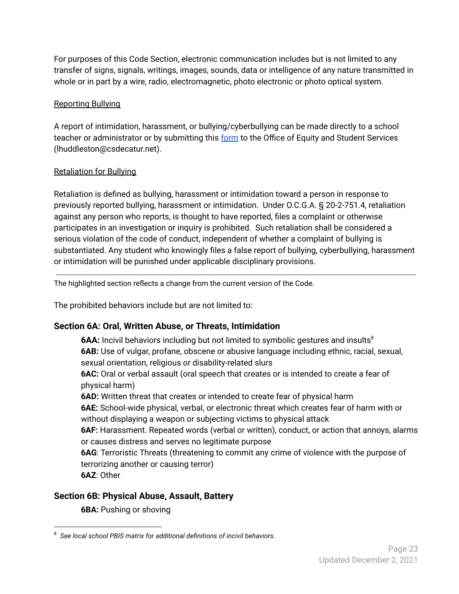For purposes of this Code Section, electronic communication includes but is not limited to any transfer of signs, signals, writings, images, sounds, data or intelligence of any nature transmitted in whole or in part by a wire, radio, electromagnetic, photo electronic or photo optical system.

#### Reporting Bullying

A report of intimidation, harassment, or bullying/cyberbullying can be made directly to a school teacher or administrator or by submitting this [form](https://drive.google.com/file/d/15TDgStxGGNu_4F6GtIcmEWzgqWaCXDNz/view?usp=sharing) to the Office of Equity and Student Services (lhuddleston@csdecatur.net).

#### Retaliation for Bullying

Retaliation is defined as bullying, harassment or intimidation toward a person in response to previously reported bullying, harassment or intimidation. Under O.C.G.A. § 20-2-751.4, retaliation against any person who reports, is thought to have reported, files a complaint or otherwise participates in an investigation or inquiry is prohibited. Such retaliation shall be considered a serious violation of the code of conduct, independent of whether a complaint of bullying is substantiated. Any student who knowingly files a false report of bullying, cyberbullying, harassment or intimidation will be punished under applicable disciplinary provisions.

The highlighted section reflects a change from the current version of the Code.

The prohibited behaviors include but are not limited to:

#### <span id="page-23-0"></span>**Section 6A: Oral, Written Abuse, or Threats, Intimidation**

**6AA:** Incivil behaviors including but not limited to symbolic gestures and insults<sup>8</sup> **6AB:** Use of vulgar, profane, obscene or abusive language including ethnic, racial, sexual, sexual orientation, religious or disability-related slurs

**6AC:** Oral or verbal assault (oral speech that creates or is intended to create a fear of physical harm)

**6AD:** Written threat that creates or intended to create fear of physical harm

**6AE:** School-wide physical, verbal, or electronic threat which creates fear of harm with or without displaying a weapon or subjecting victims to physical attack

**6AF:** Harassment. Repeated words (verbal or written), conduct, or action that annoys, alarms or causes distress and serves no legitimate purpose

**6AG**: Terroristic Threats (threatening to commit any crime of violence with the purpose of terrorizing another or causing terror)

**6AZ**: Other

#### <span id="page-23-1"></span>**Section 6B: Physical Abuse, Assault, Battery**

**6BA:** Pushing or shoving

<sup>8</sup> *See local school PBIS matrix for additional definitions of incivil behaviors.*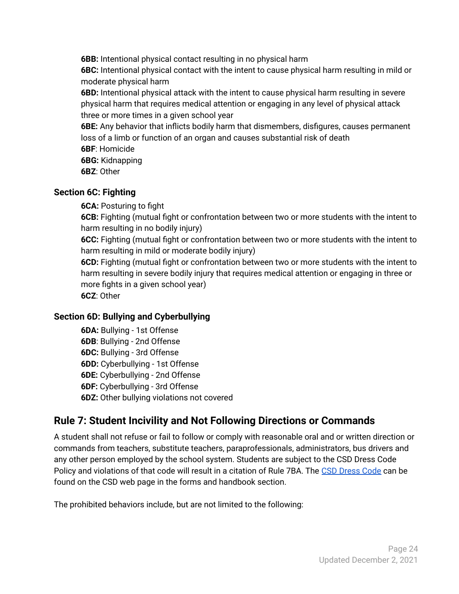**6BB:** Intentional physical contact resulting in no physical harm

**6BC:** Intentional physical contact with the intent to cause physical harm resulting in mild or moderate physical harm

**6BD:** Intentional physical attack with the intent to cause physical harm resulting in severe physical harm that requires medical attention or engaging in any level of physical attack three or more times in a given school year

**6BE:** Any behavior that inflicts bodily harm that dismembers, disfigures, causes permanent loss of a limb or function of an organ and causes substantial risk of death

**6BF**: Homicide

**6BG:** Kidnapping

**6BZ**: Other

#### <span id="page-24-0"></span>**Section 6C: Fighting**

**6CA:** Posturing to fight

**6CB:** Fighting (mutual fight or confrontation between two or more students with the intent to harm resulting in no bodily injury)

**6CC:** Fighting (mutual fight or confrontation between two or more students with the intent to harm resulting in mild or moderate bodily injury)

**6CD:** Fighting (mutual fight or confrontation between two or more students with the intent to harm resulting in severe bodily injury that requires medical attention or engaging in three or more fights in a given school year)

**6CZ**: Other

#### <span id="page-24-1"></span>**Section 6D: Bullying and Cyberbullying**

**6DA:** Bullying - 1st Offense **6DB**: Bullying - 2nd Offense **6DC:** Bullying - 3rd Offense **6DD:** Cyberbullying - 1st Offense **6DE:** Cyberbullying - 2nd Offense **6DF:** Cyberbullying - 3rd Offense **6DZ:** Other bullying violations not covered

# <span id="page-24-2"></span>**Rule 7: Student Incivility and Not Following Directions or Commands**

A student shall not refuse or fail to follow or comply with reasonable oral and or written direction or commands from teachers, substitute teachers, paraprofessionals, administrators, bus drivers and any other person employed by the school system. Students are subject to the CSD Dress Code Policy and violations of that code will result in a citation of Rule 7BA. The CSD [Dress](https://www.csdecatur.net/cms/lib/GA02000365/Centricity/Domain/140/2021%20-2022%20CSD%20Dress%20Code.pdf) Code can be found on the CSD web page in the forms and handbook section.

The prohibited behaviors include, but are not limited to the following: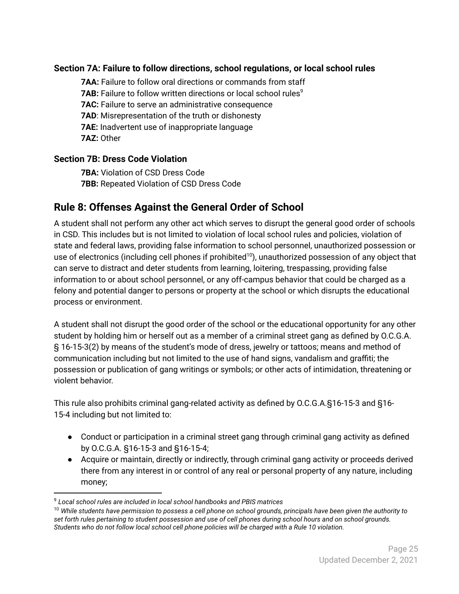#### <span id="page-25-0"></span>**Section 7A: Failure to follow directions, school regulations, or local school rules**

**7AA:** Failure to follow oral directions or commands from staff **7AB:** Failure to follow written directions or local school rules 9 **7AC:** Failure to serve an administrative consequence **7AD**: Misrepresentation of the truth or dishonesty **7AE:** Inadvertent use of inappropriate language **7AZ:** Other

#### <span id="page-25-1"></span>**Section 7B: Dress Code Violation**

**7BA:** Violation of CSD Dress Code **7BB:** Repeated Violation of CSD Dress Code

# <span id="page-25-2"></span>**Rule 8: Offenses Against the General Order of School**

A student shall not perform any other act which serves to disrupt the general good order of schools in CSD. This includes but is not limited to violation of local school rules and policies, violation of state and federal laws, providing false information to school personnel, unauthorized possession or use of electronics (including cell phones if prohibited<sup>10</sup>), unauthorized possession of any object that can serve to distract and deter students from learning, loitering, trespassing, providing false information to or about school personnel, or any off-campus behavior that could be charged as a felony and potential danger to persons or property at the school or which disrupts the educational process or environment.

A student shall not disrupt the good order of the school or the educational opportunity for any other student by holding him or herself out as a member of a criminal street gang as defined by O.C.G.A. § 16-15-3(2) by means of the student's mode of dress, jewelry or tattoos; means and method of communication including but not limited to the use of hand signs, vandalism and graffiti; the possession or publication of gang writings or symbols; or other acts of intimidation, threatening or violent behavior.

This rule also prohibits criminal gang-related activity as defined by O.C.G.A.§16-15-3 and §16- 15-4 including but not limited to:

- Conduct or participation in a criminal street gang through criminal gang activity as defined by O.C.G.A. §16-15-3 and §16-15-4;
- Acquire or maintain, directly or indirectly, through criminal gang activity or proceeds derived there from any interest in or control of any real or personal property of any nature, including money;

<sup>9</sup> *Local school rules are included in local school handbooks and PBIS matrices*

<sup>10</sup> *While students have permission to possess a cell phone on school grounds, principals have been given the authority to set forth rules pertaining to student possession and use of cell phones during school hours and on school grounds. Students who do not follow local school cell phone policies will be charged with a Rule 10 violation.*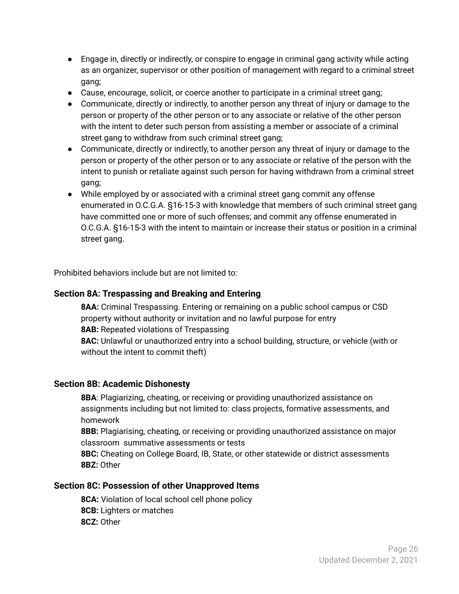- Engage in, directly or indirectly, or conspire to engage in criminal gang activity while acting as an organizer, supervisor or other position of management with regard to a criminal street gang;
- Cause, encourage, solicit, or coerce another to participate in a criminal street gang;
- Communicate, directly or indirectly, to another person any threat of injury or damage to the person or property of the other person or to any associate or relative of the other person with the intent to deter such person from assisting a member or associate of a criminal street gang to withdraw from such criminal street gang;
- Communicate, directly or indirectly, to another person any threat of injury or damage to the person or property of the other person or to any associate or relative of the person with the intent to punish or retaliate against such person for having withdrawn from a criminal street gang;
- While employed by or associated with a criminal street gang commit any offense enumerated in O.C.G.A. §16-15-3 with knowledge that members of such criminal street gang have committed one or more of such offenses; and commit any offense enumerated in O.C.G.A. §16-15-3 with the intent to maintain or increase their status or position in a criminal street gang.

Prohibited behaviors include but are not limited to:

#### <span id="page-26-0"></span>**Section 8A: Trespassing and Breaking and Entering**

**8AA:** Criminal Trespassing. Entering or remaining on a public school campus or CSD property without authority or invitation and no lawful purpose for entry **8AB:** Repeated violations of Trespassing **8AC:** Unlawful or unauthorized entry into a school building, structure, or vehicle (with or without the intent to commit theft)

#### <span id="page-26-1"></span>**Section 8B: Academic Dishonesty**

**8BA**: Plagiarizing, cheating, or receiving or providing unauthorized assistance on assignments including but not limited to: class projects, formative assessments, and homework

**8BB:** Plagiarising, cheating, or receiving or providing unauthorized assistance on major classroom summative assessments or tests

**8BC:** Cheating on College Board, IB, State, or other statewide or district assessments **8BZ:** Other

#### <span id="page-26-2"></span>**Section 8C: Possession of other Unapproved Items**

**8CA:** Violation of local school cell phone policy **8CB:** Lighters or matches **8CZ:** Other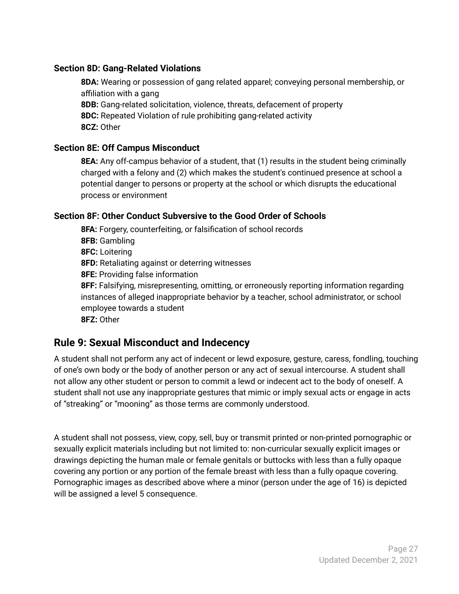#### <span id="page-27-0"></span>**Section 8D: Gang-Related Violations**

**8DA:** Wearing or possession of gang related apparel; conveying personal membership, or affiliation with a gang **8DB:** Gang-related solicitation, violence, threats, defacement of property **8DC:** Repeated Violation of rule prohibiting gang-related activity

**8CZ:** Other

#### <span id="page-27-1"></span>**Section 8E: Off Campus Misconduct**

**8EA:** Any off-campus behavior of a student, that (1) results in the student being criminally charged with a felony and (2) which makes the student's continued presence at school a potential danger to persons or property at the school or which disrupts the educational process or environment

#### <span id="page-27-2"></span>**Section 8F: Other Conduct Subversive to the Good Order of Schools**

**8FA:** Forgery, counterfeiting, or falsification of school records **8FB:** Gambling **8FC:** Loitering **8FD:** Retaliating against or deterring witnesses **8FE:** Providing false information **8FF:** Falsifying, misrepresenting, omitting, or erroneously reporting information regarding instances of alleged inappropriate behavior by a teacher, school administrator, or school employee towards a student **8FZ:** Other

### <span id="page-27-3"></span>**Rule 9: Sexual Misconduct and Indecency**

A student shall not perform any act of indecent or lewd exposure, gesture, caress, fondling, touching of one's own body or the body of another person or any act of sexual intercourse. A student shall not allow any other student or person to commit a lewd or indecent act to the body of oneself. A student shall not use any inappropriate gestures that mimic or imply sexual acts or engage in acts of "streaking" or "mooning" as those terms are commonly understood.

A student shall not possess, view, copy, sell, buy or transmit printed or non-printed pornographic or sexually explicit materials including but not limited to: non-curricular sexually explicit images or drawings depicting the human male or female genitals or buttocks with less than a fully opaque covering any portion or any portion of the female breast with less than a fully opaque covering. Pornographic images as described above where a minor (person under the age of 16) is depicted will be assigned a level 5 consequence.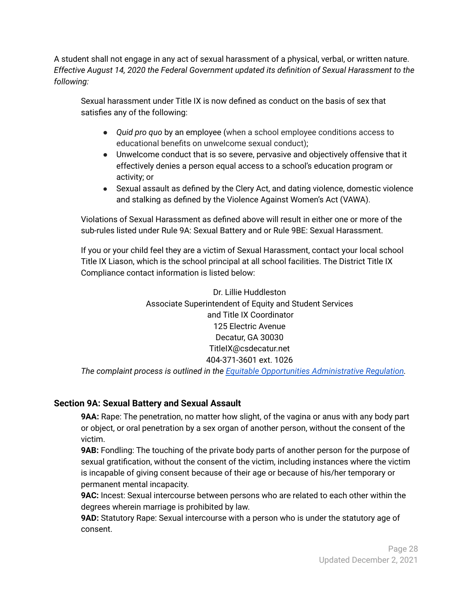A student shall not engage in any act of sexual harassment of a physical, verbal, or written nature. *Effective August 14, 2020 the Federal Government updated its definition of Sexual Harassment to the following:*

Sexual harassment under Title IX is now defined as conduct on the basis of sex that satisfies any of the following:

- *Quid pro quo* by an employee (when a school employee conditions access to educational benefits on unwelcome sexual conduct);
- Unwelcome conduct that is so severe, pervasive and objectively offensive that it effectively denies a person equal access to a school's education program or activity; or
- Sexual assault as defined by the Clery Act, and dating violence, domestic violence and stalking as defined by the Violence Against Women's Act (VAWA).

Violations of Sexual Harassment as defined above will result in either one or more of the sub-rules listed under Rule 9A: Sexual Battery and or Rule 9BE: Sexual Harassment.

If you or your child feel they are a victim of Sexual Harassment, contact your local school Title IX Liason, which is the school principal at all school facilities. The District Title IX Compliance contact information is listed below:

> Dr. Lillie Huddleston Associate Superintendent of Equity and Student Services and Title IX Coordinator 125 Electric Avenue Decatur, GA 30030 TitleIX@csdecatur.net 404-371-3601 ext. 1026

*The complaint process is outlined in the Equitable Opportunities [Administrative](https://www.csdecatur.net/site/handlers/filedownload.ashx?moduleinstanceid=4378&dataid=6378&FileName=Equitable%20Opportunities%20-%20AR%202.4_b_1.pdf) Regulation.*

#### <span id="page-28-0"></span>**Section 9A: Sexual Battery and Sexual Assault**

**9AA:** Rape: The penetration, no matter how slight, of the vagina or anus with any body part or object, or oral penetration by a sex organ of another person, without the consent of the victim.

**9AB:** Fondling: The touching of the private body parts of another person for the purpose of sexual gratification, without the consent of the victim, including instances where the victim is incapable of giving consent because of their age or because of his/her temporary or permanent mental incapacity.

**9AC:** Incest: Sexual intercourse between persons who are related to each other within the degrees wherein marriage is prohibited by law.

**9AD:** Statutory Rape: Sexual intercourse with a person who is under the statutory age of consent.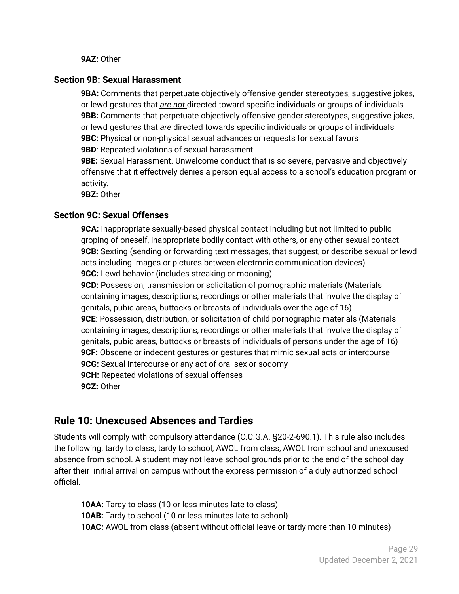#### **9AZ:** Other

#### <span id="page-29-0"></span>**Section 9B: Sexual Harassment**

**9BA:** Comments that perpetuate objectively offensive gender stereotypes, suggestive jokes, or lewd gestures that *are not* directed toward specific individuals or groups of individuals **9BB:** Comments that perpetuate objectively offensive gender stereotypes, suggestive jokes, or lewd gestures that *are* directed towards specific individuals or groups of individuals **9BC:** Physical or non-physical sexual advances or requests for sexual favors **9BD**: Repeated violations of sexual harassment

**9BE:** Sexual Harassment. Unwelcome conduct that is so severe, pervasive and objectively offensive that it effectively denies a person equal access to a school's education program or activity.

**9BZ:** Other

#### <span id="page-29-1"></span>**Section 9C: Sexual Offenses**

**9CA:** Inappropriate sexually-based physical contact including but not limited to public groping of oneself, inappropriate bodily contact with others, or any other sexual contact **9CB:** Sexting (sending or forwarding text messages, that suggest, or describe sexual or lewd acts including images or pictures between electronic communication devices) **9CC:** Lewd behavior (includes streaking or mooning)

**9CD:** Possession, transmission or solicitation of pornographic materials (Materials containing images, descriptions, recordings or other materials that involve the display of genitals, pubic areas, buttocks or breasts of individuals over the age of 16) **9CE**: Possession, distribution, or solicitation of child pornographic materials (Materials containing images, descriptions, recordings or other materials that involve the display of genitals, pubic areas, buttocks or breasts of individuals of persons under the age of 16) **9CF:** Obscene or indecent gestures or gestures that mimic sexual acts or intercourse **9CG:** Sexual intercourse or any act of oral sex or sodomy **9CH:** Repeated violations of sexual offenses **9CZ:** Other

#### <span id="page-29-2"></span>**Rule 10: Unexcused Absences and Tardies**

Students will comply with compulsory attendance (O.C.G.A. §20-2-690.1). This rule also includes the following: tardy to class, tardy to school, AWOL from class, AWOL from school and unexcused absence from school. A student may not leave school grounds prior to the end of the school day after their initial arrival on campus without the express permission of a duly authorized school official.

**10AA:** Tardy to class (10 or less minutes late to class) **10AB:** Tardy to school (10 or less minutes late to school) **10AC:** AWOL from class (absent without official leave or tardy more than 10 minutes)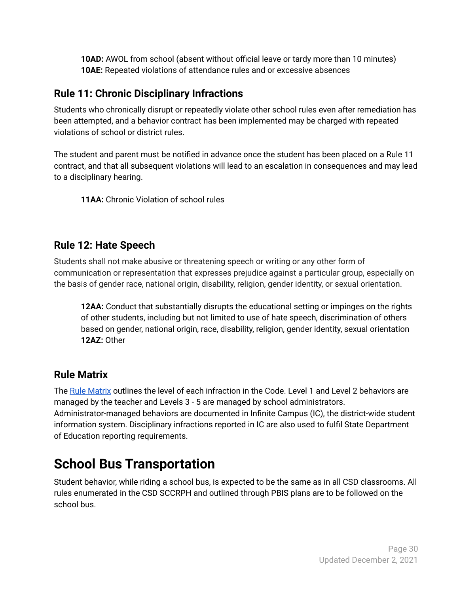**10AD:** AWOL from school (absent without official leave or tardy more than 10 minutes) **10AE:** Repeated violations of attendance rules and or excessive absences

### <span id="page-30-0"></span>**Rule 11: Chronic Disciplinary Infractions**

Students who chronically disrupt or repeatedly violate other school rules even after remediation has been attempted, and a behavior contract has been implemented may be charged with repeated violations of school or district rules.

The student and parent must be notified in advance once the student has been placed on a Rule 11 contract, and that all subsequent violations will lead to an escalation in consequences and may lead to a disciplinary hearing.

**11AA:** Chronic Violation of school rules

### <span id="page-30-1"></span>**Rule 12: Hate Speech**

Students shall not make abusive or threatening speech or writing or any other form of communication or representation that expresses prejudice against a particular group, especially on the basis of gender race, national origin, disability, religion, gender identity, or sexual orientation.

**12AA:** Conduct that substantially disrupts the educational setting or impinges on the rights of other students, including but not limited to use of hate speech, discrimination of others based on gender, national origin, race, disability, religion, gender identity, sexual orientation **12AZ:** Other

# <span id="page-30-2"></span>**Rule Matrix**

The Rule [Matrix](https://drive.google.com/file/d/1T_lEsRi6XS6Sg9gHEQyveWsXTX-HZC6j/view?usp=sharing) outlines the level of each infraction in the Code. Level 1 and Level 2 behaviors are managed by the teacher and Levels 3 - 5 are managed by school administrators. Administrator-managed behaviors are documented in Infinite Campus (IC), the district-wide student information system. Disciplinary infractions reported in IC are also used to fulfil State Department of Education reporting requirements.

# <span id="page-30-3"></span>**School Bus Transportation**

Student behavior, while riding a school bus, is expected to be the same as in all CSD classrooms. All rules enumerated in the CSD SCCRPH and outlined through PBIS plans are to be followed on the school bus.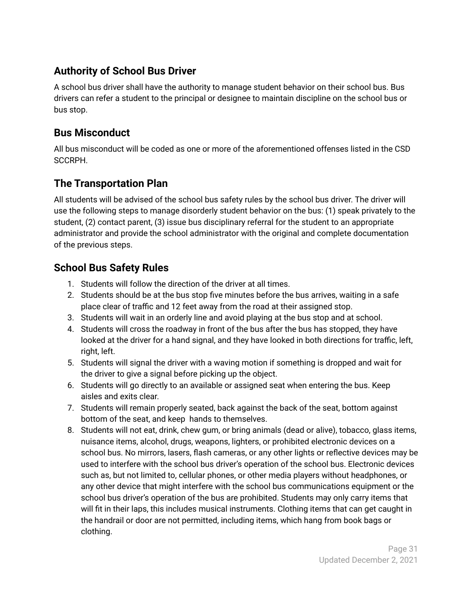# <span id="page-31-0"></span>**Authority of School Bus Driver**

A school bus driver shall have the authority to manage student behavior on their school bus. Bus drivers can refer a student to the principal or designee to maintain discipline on the school bus or bus stop.

## <span id="page-31-1"></span>**Bus Misconduct**

All bus misconduct will be coded as one or more of the aforementioned offenses listed in the CSD SCCRPH.

# <span id="page-31-2"></span>**The Transportation Plan**

All students will be advised of the school bus safety rules by the school bus driver. The driver will use the following steps to manage disorderly student behavior on the bus: (1) speak privately to the student, (2) contact parent, (3) issue bus disciplinary referral for the student to an appropriate administrator and provide the school administrator with the original and complete documentation of the previous steps.

### <span id="page-31-3"></span>**School Bus Safety Rules**

- 1. Students will follow the direction of the driver at all times.
- 2. Students should be at the bus stop five minutes before the bus arrives, waiting in a safe place clear of traffic and 12 feet away from the road at their assigned stop.
- 3. Students will wait in an orderly line and avoid playing at the bus stop and at school.
- 4. Students will cross the roadway in front of the bus after the bus has stopped, they have looked at the driver for a hand signal, and they have looked in both directions for traffic, left, right, left.
- 5. Students will signal the driver with a waving motion if something is dropped and wait for the driver to give a signal before picking up the object.
- 6. Students will go directly to an available or assigned seat when entering the bus. Keep aisles and exits clear.
- 7. Students will remain properly seated, back against the back of the seat, bottom against bottom of the seat, and keep hands to themselves.
- 8. Students will not eat, drink, chew gum, or bring animals (dead or alive), tobacco, glass items, nuisance items, alcohol, drugs, weapons, lighters, or prohibited electronic devices on a school bus. No mirrors, lasers, flash cameras, or any other lights or reflective devices may be used to interfere with the school bus driver's operation of the school bus. Electronic devices such as, but not limited to, cellular phones, or other media players without headphones, or any other device that might interfere with the school bus communications equipment or the school bus driver's operation of the bus are prohibited. Students may only carry items that will fit in their laps, this includes musical instruments. Clothing items that can get caught in the handrail or door are not permitted, including items, which hang from book bags or clothing.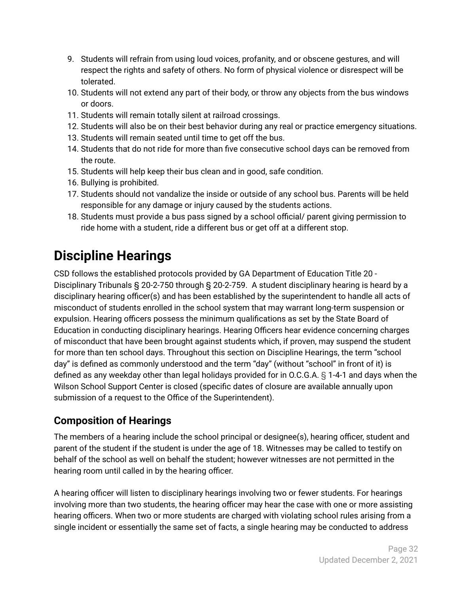- 9. Students will refrain from using loud voices, profanity, and or obscene gestures, and will respect the rights and safety of others. No form of physical violence or disrespect will be tolerated.
- 10. Students will not extend any part of their body, or throw any objects from the bus windows or doors.
- 11. Students will remain totally silent at railroad crossings.
- 12. Students will also be on their best behavior during any real or practice emergency situations.
- 13. Students will remain seated until time to get off the bus.
- 14. Students that do not ride for more than five consecutive school days can be removed from the route.
- 15. Students will help keep their bus clean and in good, safe condition.
- 16. Bullying is prohibited.
- 17. Students should not vandalize the inside or outside of any school bus. Parents will be held responsible for any damage or injury caused by the students actions.
- 18. Students must provide a bus pass signed by a school official/ parent giving permission to ride home with a student, ride a different bus or get off at a different stop.

# <span id="page-32-0"></span>**Discipline Hearings**

CSD follows the established protocols provided by GA Department of Education Title 20 - Disciplinary Tribunals § 20-2-750 through § 20-2-759. A student disciplinary hearing is heard by a disciplinary hearing officer(s) and has been established by the superintendent to handle all acts of misconduct of students enrolled in the school system that may warrant long-term suspension or expulsion. Hearing officers possess the minimum qualifications as set by the State Board of Education in conducting disciplinary hearings. Hearing Officers hear evidence concerning charges of misconduct that have been brought against students which, if proven, may suspend the student for more than ten school days. Throughout this section on Discipline Hearings, the term "school day" is defined as commonly understood and the term "day" (without "school" in front of it) is defined as any weekday other than legal holidays provided for in O.C.G.A. § 1-4-1 and days when the Wilson School Support Center is closed (specific dates of closure are available annually upon submission of a request to the Office of the Superintendent).

# <span id="page-32-1"></span>**Composition of Hearings**

The members of a hearing include the school principal or designee(s), hearing officer, student and parent of the student if the student is under the age of 18. Witnesses may be called to testify on behalf of the school as well on behalf the student; however witnesses are not permitted in the hearing room until called in by the hearing officer.

A hearing officer will listen to disciplinary hearings involving two or fewer students. For hearings involving more than two students, the hearing officer may hear the case with one or more assisting hearing officers. When two or more students are charged with violating school rules arising from a single incident or essentially the same set of facts, a single hearing may be conducted to address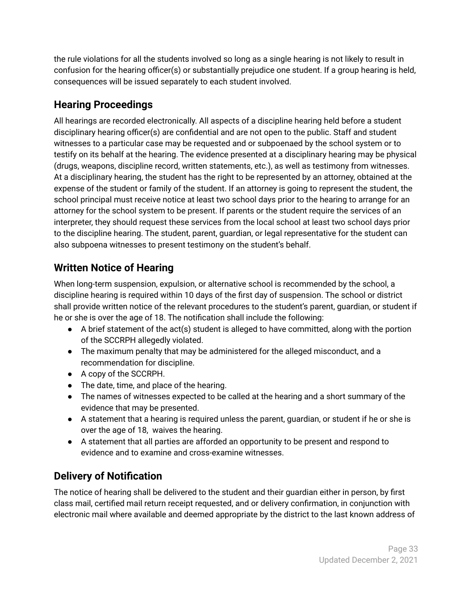the rule violations for all the students involved so long as a single hearing is not likely to result in confusion for the hearing officer(s) or substantially prejudice one student. If a group hearing is held, consequences will be issued separately to each student involved.

# <span id="page-33-0"></span>**Hearing Proceedings**

All hearings are recorded electronically. All aspects of a discipline hearing held before a student disciplinary hearing officer(s) are confidential and are not open to the public. Staff and student witnesses to a particular case may be requested and or subpoenaed by the school system or to testify on its behalf at the hearing. The evidence presented at a disciplinary hearing may be physical (drugs, weapons, discipline record, written statements, etc.), as well as testimony from witnesses. At a disciplinary hearing, the student has the right to be represented by an attorney, obtained at the expense of the student or family of the student. If an attorney is going to represent the student, the school principal must receive notice at least two school days prior to the hearing to arrange for an attorney for the school system to be present. If parents or the student require the services of an interpreter, they should request these services from the local school at least two school days prior to the discipline hearing. The student, parent, guardian, or legal representative for the student can also subpoena witnesses to present testimony on the student's behalf.

# <span id="page-33-1"></span>**Written Notice of Hearing**

When long-term suspension, expulsion, or alternative school is recommended by the school, a discipline hearing is required within 10 days of the first day of suspension. The school or district shall provide written notice of the relevant procedures to the student's parent, guardian, or student if he or she is over the age of 18. The notification shall include the following:

- A brief statement of the act(s) student is alleged to have committed, along with the portion of the SCCRPH allegedly violated.
- The maximum penalty that may be administered for the alleged misconduct, and a recommendation for discipline.
- A copy of the SCCRPH.
- The date, time, and place of the hearing.
- The names of witnesses expected to be called at the hearing and a short summary of the evidence that may be presented.
- A statement that a hearing is required unless the parent, guardian, or student if he or she is over the age of 18, waives the hearing.
- A statement that all parties are afforded an opportunity to be present and respond to evidence and to examine and cross-examine witnesses.

# <span id="page-33-2"></span>**Delivery of Notification**

The notice of hearing shall be delivered to the student and their guardian either in person, by first class mail, certified mail return receipt requested, and or delivery confirmation, in conjunction with electronic mail where available and deemed appropriate by the district to the last known address of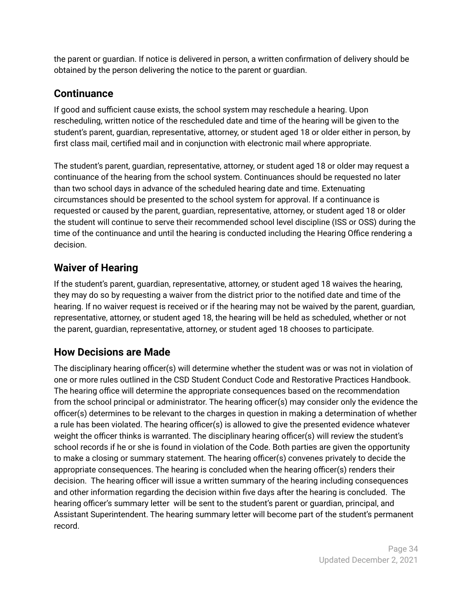the parent or guardian. If notice is delivered in person, a written confirmation of delivery should be obtained by the person delivering the notice to the parent or guardian.

# <span id="page-34-0"></span>**Continuance**

If good and sufficient cause exists, the school system may reschedule a hearing. Upon rescheduling, written notice of the rescheduled date and time of the hearing will be given to the student's parent, guardian, representative, attorney, or student aged 18 or older either in person, by first class mail, certified mail and in conjunction with electronic mail where appropriate.

The student's parent, guardian, representative, attorney, or student aged 18 or older may request a continuance of the hearing from the school system. Continuances should be requested no later than two school days in advance of the scheduled hearing date and time. Extenuating circumstances should be presented to the school system for approval. If a continuance is requested or caused by the parent, guardian, representative, attorney, or student aged 18 or older the student will continue to serve their recommended school level discipline (ISS or OSS) during the time of the continuance and until the hearing is conducted including the Hearing Office rendering a decision.

# <span id="page-34-1"></span>**Waiver of Hearing**

If the student's parent, guardian, representative, attorney, or student aged 18 waives the hearing, they may do so by requesting a waiver from the district prior to the notified date and time of the hearing. If no waiver request is received or if the hearing may not be waived by the parent, guardian, representative, attorney, or student aged 18, the hearing will be held as scheduled, whether or not the parent, guardian, representative, attorney, or student aged 18 chooses to participate.

# <span id="page-34-2"></span>**How Decisions are Made**

The disciplinary hearing officer(s) will determine whether the student was or was not in violation of one or more rules outlined in the CSD Student Conduct Code and Restorative Practices Handbook. The hearing office will determine the appropriate consequences based on the recommendation from the school principal or administrator. The hearing officer(s) may consider only the evidence the officer(s) determines to be relevant to the charges in question in making a determination of whether a rule has been violated. The hearing officer(s) is allowed to give the presented evidence whatever weight the officer thinks is warranted. The disciplinary hearing officer(s) will review the student's school records if he or she is found in violation of the Code. Both parties are given the opportunity to make a closing or summary statement. The hearing officer(s) convenes privately to decide the appropriate consequences. The hearing is concluded when the hearing officer(s) renders their decision. The hearing officer will issue a written summary of the hearing including consequences and other information regarding the decision within five days after the hearing is concluded. The hearing officer's summary letter will be sent to the student's parent or guardian, principal, and Assistant Superintendent. The hearing summary letter will become part of the student's permanent record.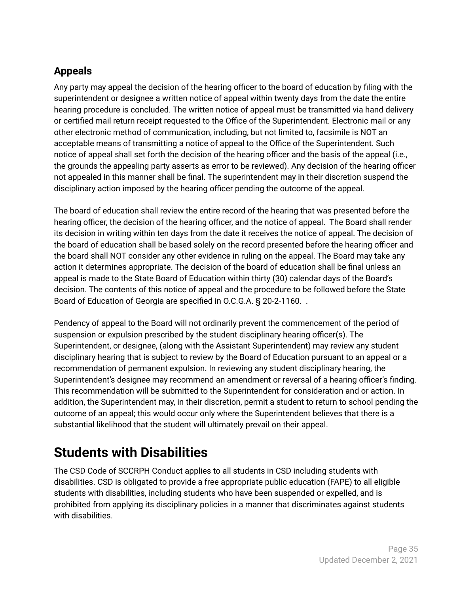# <span id="page-35-0"></span>**Appeals**

Any party may appeal the decision of the hearing officer to the board of education by filing with the superintendent or designee a written notice of appeal within twenty days from the date the entire hearing procedure is concluded. The written notice of appeal must be transmitted via hand delivery or certified mail return receipt requested to the Office of the Superintendent. Electronic mail or any other electronic method of communication, including, but not limited to, facsimile is NOT an acceptable means of transmitting a notice of appeal to the Office of the Superintendent. Such notice of appeal shall set forth the decision of the hearing officer and the basis of the appeal (i.e., the grounds the appealing party asserts as error to be reviewed). Any decision of the hearing officer not appealed in this manner shall be final. The superintendent may in their discretion suspend the disciplinary action imposed by the hearing officer pending the outcome of the appeal.

The board of education shall review the entire record of the hearing that was presented before the hearing officer, the decision of the hearing officer, and the notice of appeal. The Board shall render its decision in writing within ten days from the date it receives the notice of appeal. The decision of the board of education shall be based solely on the record presented before the hearing officer and the board shall NOT consider any other evidence in ruling on the appeal. The Board may take any action it determines appropriate. The decision of the board of education shall be final unless an appeal is made to the State Board of Education within thirty (30) calendar days of the Board's decision. The contents of this notice of appeal and the procedure to be followed before the State Board of Education of Georgia are specified in O.C.G.A. § 20-2-1160. .

Pendency of appeal to the Board will not ordinarily prevent the commencement of the period of suspension or expulsion prescribed by the student disciplinary hearing officer(s). The Superintendent, or designee, (along with the Assistant Superintendent) may review any student disciplinary hearing that is subject to review by the Board of Education pursuant to an appeal or a recommendation of permanent expulsion. In reviewing any student disciplinary hearing, the Superintendent's designee may recommend an amendment or reversal of a hearing officer's finding. This recommendation will be submitted to the Superintendent for consideration and or action. In addition, the Superintendent may, in their discretion, permit a student to return to school pending the outcome of an appeal; this would occur only where the Superintendent believes that there is a substantial likelihood that the student will ultimately prevail on their appeal.

# <span id="page-35-1"></span>**Students with Disabilities**

The CSD Code of SCCRPH Conduct applies to all students in CSD including students with disabilities. CSD is obligated to provide a free appropriate public education (FAPE) to all eligible students with disabilities, including students who have been suspended or expelled, and is prohibited from applying its disciplinary policies in a manner that discriminates against students with disabilities.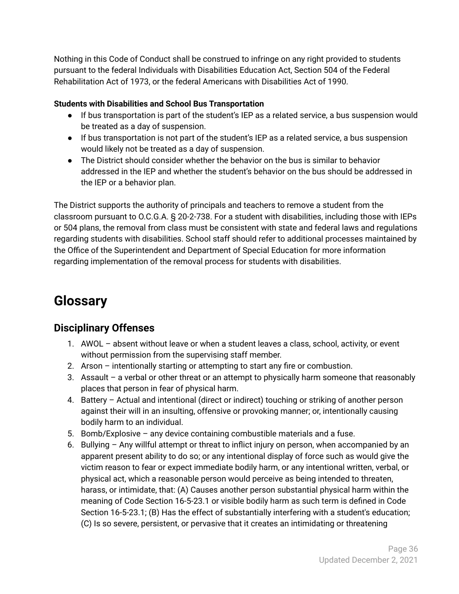Nothing in this Code of Conduct shall be construed to infringe on any right provided to students pursuant to the federal Individuals with Disabilities Education Act, Section 504 of the Federal Rehabilitation Act of 1973, or the federal Americans with Disabilities Act of 1990.

#### **Students with Disabilities and School Bus Transportation**

- If bus transportation is part of the student's IEP as a related service, a bus suspension would be treated as a day of suspension.
- If bus transportation is not part of the student's IEP as a related service, a bus suspension would likely not be treated as a day of suspension.
- The District should consider whether the behavior on the bus is similar to behavior addressed in the IEP and whether the student's behavior on the bus should be addressed in the IEP or a behavior plan.

The District supports the authority of principals and teachers to remove a student from the classroom pursuant to O.C.G.A. § 20-2-738. For a student with disabilities, including those with IEPs or 504 plans, the removal from class must be consistent with state and federal laws and regulations regarding students with disabilities. School staff should refer to additional processes maintained by the Office of the Superintendent and Department of Special Education for more information regarding implementation of the removal process for students with disabilities.

# <span id="page-36-0"></span>**Glossary**

### <span id="page-36-1"></span>**Disciplinary Offenses**

- 1. AWOL absent without leave or when a student leaves a class, school, activity, or event without permission from the supervising staff member.
- 2. Arson intentionally starting or attempting to start any fire or combustion.
- 3. Assault a verbal or other threat or an attempt to physically harm someone that reasonably places that person in fear of physical harm.
- 4. Battery Actual and intentional (direct or indirect) touching or striking of another person against their will in an insulting, offensive or provoking manner; or, intentionally causing bodily harm to an individual.
- 5. Bomb/Explosive any device containing combustible materials and a fuse.
- 6. Bullying Any willful attempt or threat to inflict injury on person, when accompanied by an apparent present ability to do so; or any intentional display of force such as would give the victim reason to fear or expect immediate bodily harm, or any intentional written, verbal, or physical act, which a reasonable person would perceive as being intended to threaten, harass, or intimidate, that: (A) Causes another person substantial physical harm within the meaning of Code Section 16-5-23.1 or visible bodily harm as such term is defined in Code Section 16-5-23.1; (B) Has the effect of substantially interfering with a student's education; (C) Is so severe, persistent, or pervasive that it creates an intimidating or threatening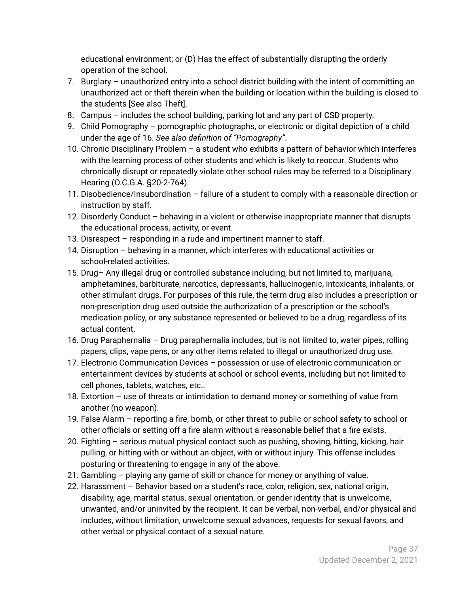educational environment; or (D) Has the effect of substantially disrupting the orderly operation of the school.

- 7. Burglary unauthorized entry into a school district building with the intent of committing an unauthorized act or theft therein when the building or location within the building is closed to the students [See also Theft].
- 8. Campus includes the school building, parking lot and any part of CSD property.
- 9. Child Pornography pornographic photographs, or electronic or digital depiction of a child under the age of 16. *See also definition of "Pornography"*.
- 10. Chronic Disciplinary Problem a student who exhibits a pattern of behavior which interferes with the learning process of other students and which is likely to reoccur. Students who chronically disrupt or repeatedly violate other school rules may be referred to a Disciplinary Hearing (O.C.G.A. §20-2-764).
- 11. Disobedience/Insubordination failure of a student to comply with a reasonable direction or instruction by staff.
- 12. Disorderly Conduct behaving in a violent or otherwise inappropriate manner that disrupts the educational process, activity, or event.
- 13. Disrespect responding in a rude and impertinent manner to staff.
- 14. Disruption behaving in a manner, which interferes with educational activities or school-related activities.
- 15. Drug– Any illegal drug or controlled substance including, but not limited to, marijuana, amphetamines, barbiturate, narcotics, depressants, hallucinogenic, intoxicants, inhalants, or other stimulant drugs. For purposes of this rule, the term drug also includes a prescription or non-prescription drug used outside the authorization of a prescription or the school's medication policy, or any substance represented or believed to be a drug, regardless of its actual content.
- 16. Drug Paraphernalia Drug paraphernalia includes, but is not limited to, water pipes, rolling papers, clips, vape pens, or any other items related to illegal or unauthorized drug use.
- 17. Electronic Communication Devices possession or use of electronic communication or entertainment devices by students at school or school events, including but not limited to cell phones, tablets, watches, etc..
- 18. Extortion use of threats or intimidation to demand money or something of value from another (no weapon).
- 19. False Alarm reporting a fire, bomb, or other threat to public or school safety to school or other officials or setting off a fire alarm without a reasonable belief that a fire exists.
- 20. Fighting serious mutual physical contact such as pushing, shoving, hitting, kicking, hair pulling, or hitting with or without an object, with or without injury. This offense includes posturing or threatening to engage in any of the above.
- 21. Gambling playing any game of skill or chance for money or anything of value.
- 22. Harassment Behavior based on a student's race, color, religion, sex, national origin, disability, age, marital status, sexual orientation, or gender identity that is unwelcome, unwanted, and/or uninvited by the recipient. It can be verbal, non-verbal, and/or physical and includes, without limitation, unwelcome sexual advances, requests for sexual favors, and other verbal or physical contact of a sexual nature.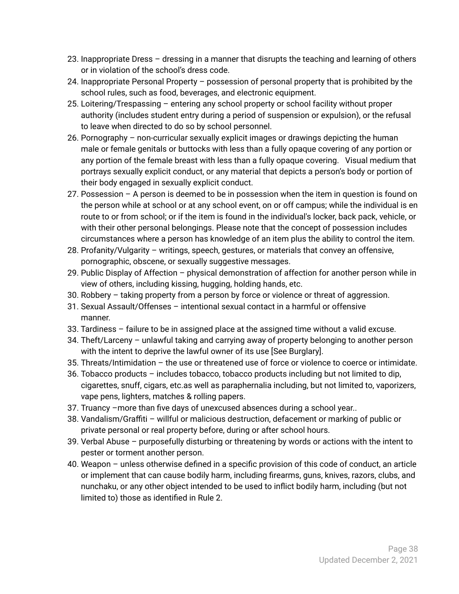- 23. Inappropriate Dress dressing in a manner that disrupts the teaching and learning of others or in violation of the school's dress code.
- 24. Inappropriate Personal Property possession of personal property that is prohibited by the school rules, such as food, beverages, and electronic equipment.
- 25. Loitering/Trespassing entering any school property or school facility without proper authority (includes student entry during a period of suspension or expulsion), or the refusal to leave when directed to do so by school personnel.
- 26. Pornography non-curricular sexually explicit images or drawings depicting the human male or female genitals or buttocks with less than a fully opaque covering of any portion or any portion of the female breast with less than a fully opaque covering. Visual medium that portrays sexually explicit conduct, or any material that depicts a person's body or portion of their body engaged in sexually explicit conduct.
- 27. Possession A person is deemed to be in possession when the item in question is found on the person while at school or at any school event, on or off campus; while the individual is en route to or from school; or if the item is found in the individual's locker, back pack, vehicle, or with their other personal belongings. Please note that the concept of possession includes circumstances where a person has knowledge of an item plus the ability to control the item.
- 28. Profanity/Vulgarity writings, speech, gestures, or materials that convey an offensive, pornographic, obscene, or sexually suggestive messages.
- 29. Public Display of Affection physical demonstration of affection for another person while in view of others, including kissing, hugging, holding hands, etc.
- 30. Robbery taking property from a person by force or violence or threat of aggression.
- 31. Sexual Assault/Offenses intentional sexual contact in a harmful or offensive manner.
- 33. Tardiness failure to be in assigned place at the assigned time without a valid excuse.
- 34. Theft/Larceny unlawful taking and carrying away of property belonging to another person with the intent to deprive the lawful owner of its use [See Burglary].
- 35. Threats/Intimidation the use or threatened use of force or violence to coerce or intimidate.
- 36. Tobacco products includes tobacco, tobacco products including but not limited to dip, cigarettes, snuff, cigars, etc.as well as paraphernalia including, but not limited to, vaporizers, vape pens, lighters, matches & rolling papers.
- 37. Truancy –more than five days of unexcused absences during a school year..
- 38. Vandalism/Graffiti willful or malicious destruction, defacement or marking of public or private personal or real property before, during or after school hours.
- 39. Verbal Abuse purposefully disturbing or threatening by words or actions with the intent to pester or torment another person.
- 40. Weapon unless otherwise defined in a specific provision of this code of conduct, an article or implement that can cause bodily harm, including firearms, guns, knives, razors, clubs, and nunchaku, or any other object intended to be used to inflict bodily harm, including (but not limited to) those as identified in Rule 2.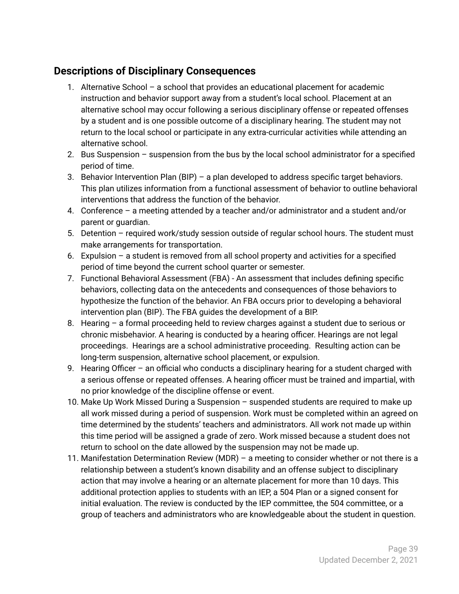### <span id="page-39-0"></span>**Descriptions of Disciplinary Consequences**

- 1. Alternative School a school that provides an educational placement for academic instruction and behavior support away from a student's local school. Placement at an alternative school may occur following a serious disciplinary offense or repeated offenses by a student and is one possible outcome of a disciplinary hearing. The student may not return to the local school or participate in any extra-curricular activities while attending an alternative school.
- 2. Bus Suspension suspension from the bus by the local school administrator for a specified period of time.
- 3. Behavior Intervention Plan (BIP) a plan developed to address specific target behaviors. This plan utilizes information from a functional assessment of behavior to outline behavioral interventions that address the function of the behavior.
- 4. Conference a meeting attended by a teacher and/or administrator and a student and/or parent or guardian.
- 5. Detention required work/study session outside of regular school hours. The student must make arrangements for transportation.
- 6. Expulsion a student is removed from all school property and activities for a specified period of time beyond the current school quarter or semester.
- 7. Functional Behavioral Assessment (FBA) An assessment that includes defining specific behaviors, collecting data on the antecedents and consequences of those behaviors to hypothesize the function of the behavior. An FBA occurs prior to developing a behavioral intervention plan (BIP). The FBA guides the development of a BIP.
- 8. Hearing a formal proceeding held to review charges against a student due to serious or chronic misbehavior. A hearing is conducted by a hearing officer. Hearings are not legal proceedings. Hearings are a school administrative proceeding. Resulting action can be long-term suspension, alternative school placement, or expulsion.
- 9. Hearing Officer an official who conducts a disciplinary hearing for a student charged with a serious offense or repeated offenses. A hearing officer must be trained and impartial, with no prior knowledge of the discipline offense or event.
- 10. Make Up Work Missed During a Suspension suspended students are required to make up all work missed during a period of suspension. Work must be completed within an agreed on time determined by the students' teachers and administrators. All work not made up within this time period will be assigned a grade of zero. Work missed because a student does not return to school on the date allowed by the suspension may not be made up.
- 11. Manifestation Determination Review (MDR) a meeting to consider whether or not there is a relationship between a student's known disability and an offense subject to disciplinary action that may involve a hearing or an alternate placement for more than 10 days. This additional protection applies to students with an IEP, a 504 Plan or a signed consent for initial evaluation. The review is conducted by the IEP committee, the 504 committee, or a group of teachers and administrators who are knowledgeable about the student in question.